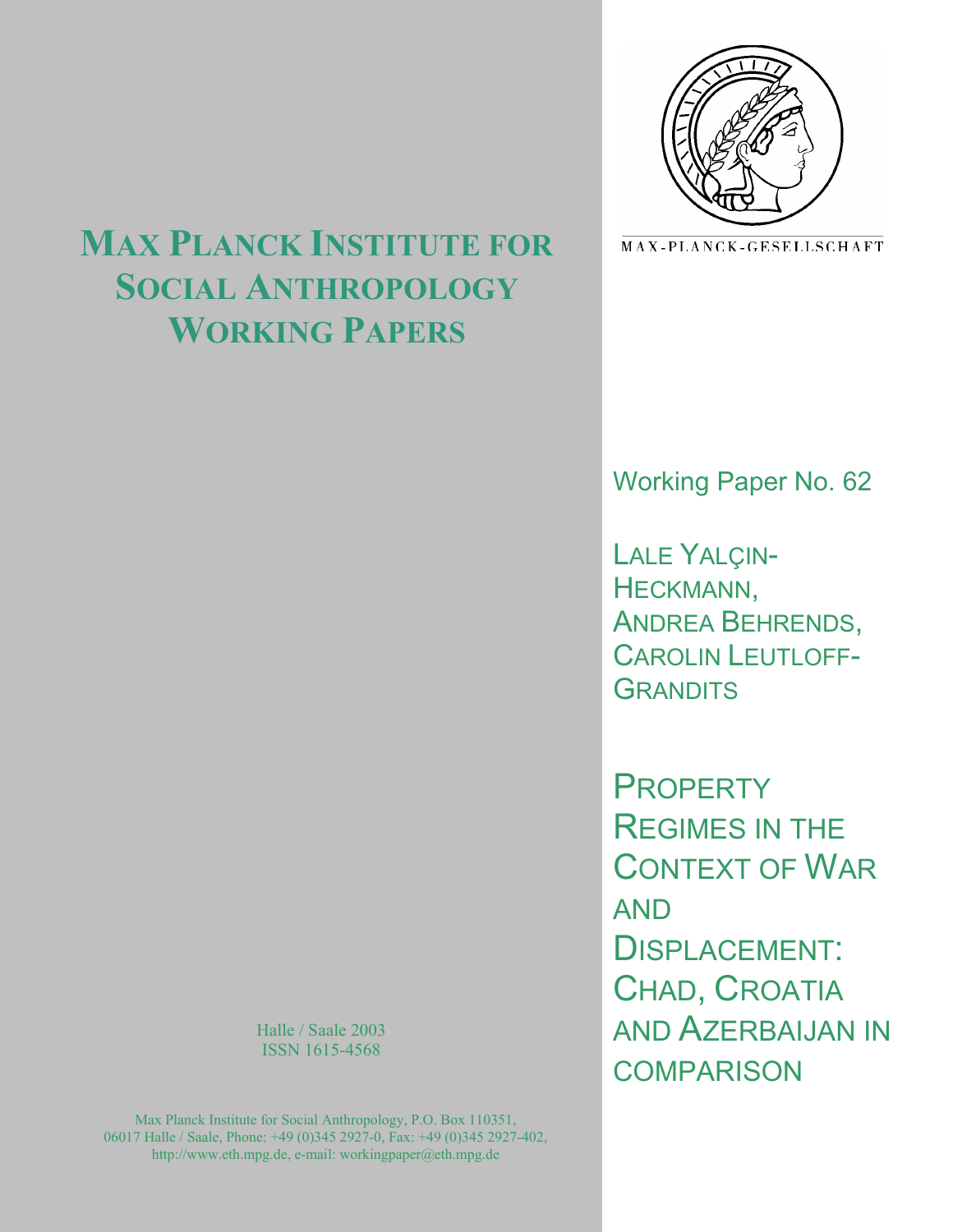

MAX-PLANCK-GESELLSCHAFT

# Working Paper No. 62

LALE YALÇIN-HECKMANN, ANDREA BEHRENDS, CAROLIN LEUTLOFF-**GRANDITS** 

**PROPERTY** REGIMES IN THE CONTEXT OF WAR AND DISPLACEMENT: CHAD, CROATIA AND AZERBAIJAN IN **COMPARISON** 

## **MAX PLANCK INSTITUTE FOR SOCIAL ANTHROPOLOGY WORKING PAPERS**

Halle / Saale 2003 ISSN 1615-4568

Max Planck Institute for Social Anthropology, P.O. Box 110351, 06017 Halle / Saale, Phone: +49 (0)345 2927-0, Fax: +49 (0)345 2927-402, http://www.eth.mpg.de, e-mail: workingpaper@eth.mpg.de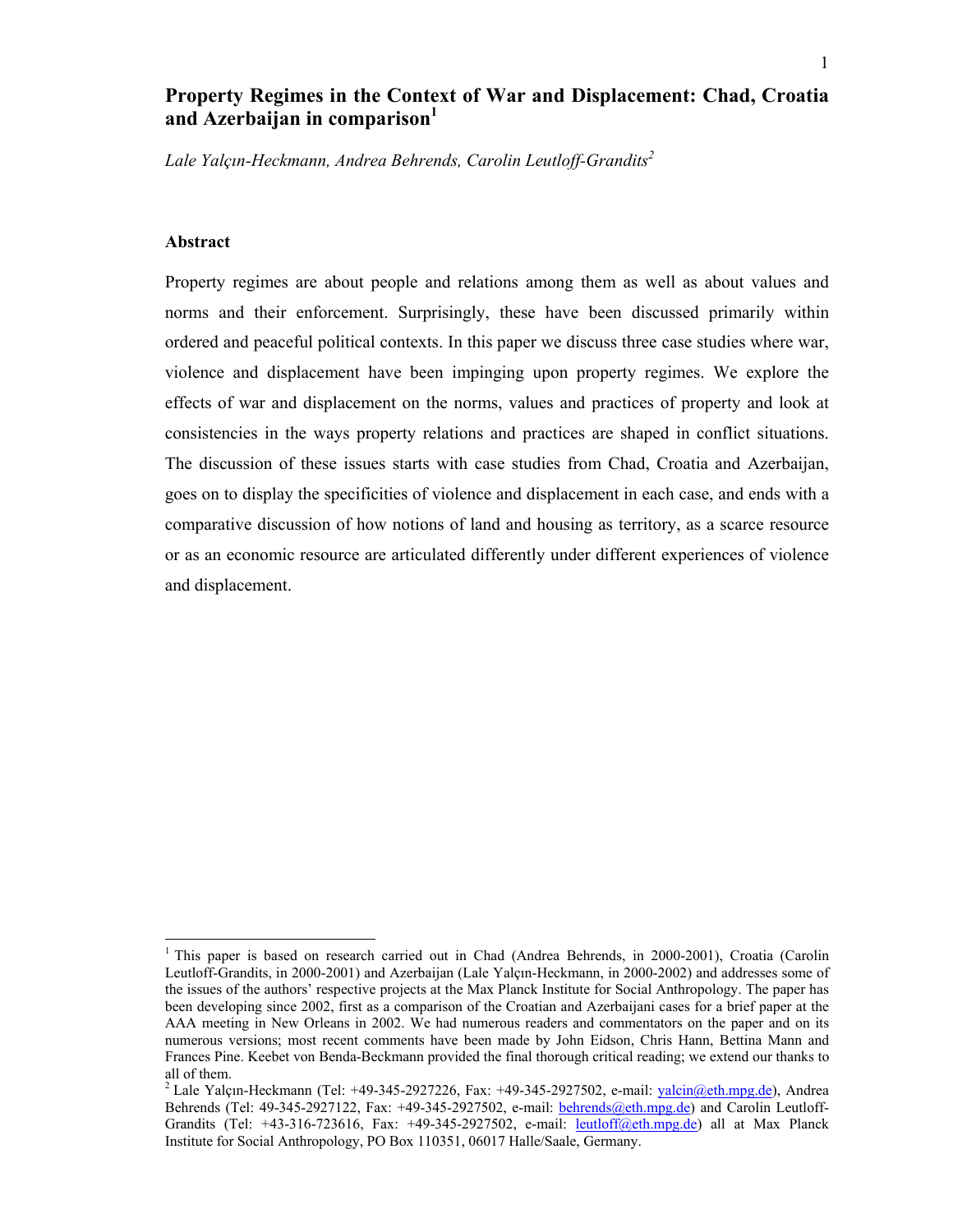## **Property Regimes in the Context of War and Displacement: Chad, Croatia**  and Azerbaijan in comparison<sup>1</sup>

*Lale Yalçın-Heckmann, Andrea Behrends, Carolin Leutloff-Grandits2* 

## **Abstract**

 $\overline{a}$ 

Property regimes are about people and relations among them as well as about values and norms and their enforcement. Surprisingly, these have been discussed primarily within ordered and peaceful political contexts. In this paper we discuss three case studies where war, violence and displacement have been impinging upon property regimes. We explore the effects of war and displacement on the norms, values and practices of property and look at consistencies in the ways property relations and practices are shaped in conflict situations. The discussion of these issues starts with case studies from Chad, Croatia and Azerbaijan, goes on to display the specificities of violence and displacement in each case, and ends with a comparative discussion of how notions of land and housing as territory, as a scarce resource or as an economic resource are articulated differently under different experiences of violence and displacement.

<sup>&</sup>lt;sup>1</sup> This paper is based on research carried out in Chad (Andrea Behrends, in 2000-2001), Croatia (Carolin Leutloff-Grandits, in 2000-2001) and Azerbaijan (Lale Yalçın-Heckmann, in 2000-2002) and addresses some of the issues of the authors' respective projects at the Max Planck Institute for Social Anthropology. The paper has been developing since 2002, first as a comparison of the Croatian and Azerbaijani cases for a brief paper at the AAA meeting in New Orleans in 2002. We had numerous readers and commentators on the paper and on its numerous versions; most recent comments have been made by John Eidson, Chris Hann, Bettina Mann and Frances Pine. Keebet von Benda-Beckmann provided the final thorough critical reading; we extend our thanks to all of them.

<sup>&</sup>lt;sup>2</sup> Lale Yalçın-Heckmann (Tel: +49-345-2927226, Fax: +49-345-2927502, e-mail:  $\frac{1}{2}$  valcin $\frac{a}{a}$ eth.mpg.de), Andrea Behrends (Tel: 49-345-2927122, Fax: +49-345-2927502, e-mail: behrends@eth.mpg.de) and Carolin Leutloff-Grandits (Tel: +43-316-723616, Fax: +49-345-2927502, e-mail: leutloff@eth.mpg.de) all at Max Planck Institute for Social Anthropology, PO Box 110351, 06017 Halle/Saale, Germany.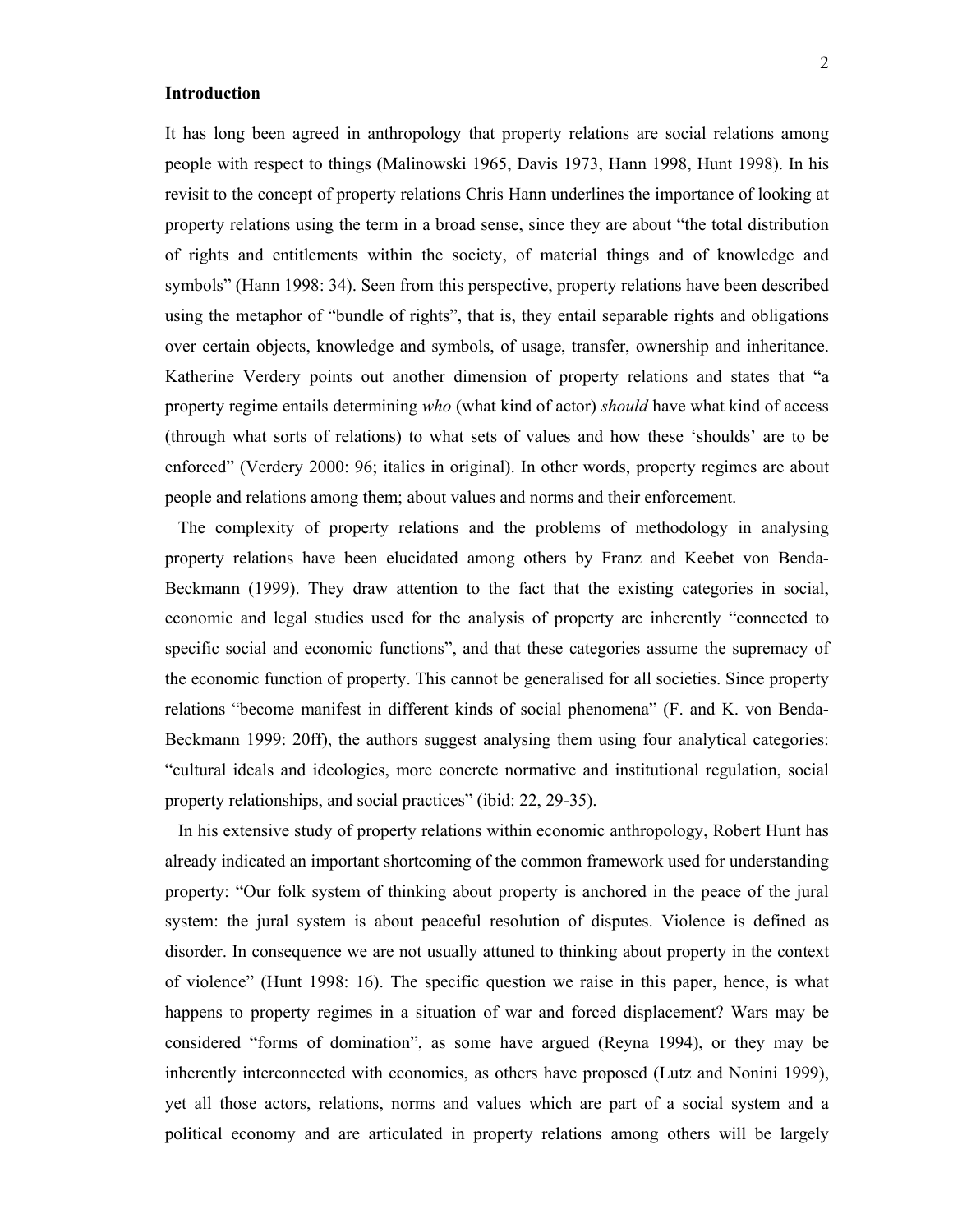## **Introduction**

It has long been agreed in anthropology that property relations are social relations among people with respect to things (Malinowski 1965, Davis 1973, Hann 1998, Hunt 1998). In his revisit to the concept of property relations Chris Hann underlines the importance of looking at property relations using the term in a broad sense, since they are about "the total distribution of rights and entitlements within the society, of material things and of knowledge and symbols" (Hann 1998: 34). Seen from this perspective, property relations have been described using the metaphor of "bundle of rights", that is, they entail separable rights and obligations over certain objects, knowledge and symbols, of usage, transfer, ownership and inheritance. Katherine Verdery points out another dimension of property relations and states that "a property regime entails determining *who* (what kind of actor) *should* have what kind of access (through what sorts of relations) to what sets of values and how these 'shoulds' are to be enforced" (Verdery 2000: 96; italics in original). In other words, property regimes are about people and relations among them; about values and norms and their enforcement.

 The complexity of property relations and the problems of methodology in analysing property relations have been elucidated among others by Franz and Keebet von Benda-Beckmann (1999). They draw attention to the fact that the existing categories in social, economic and legal studies used for the analysis of property are inherently "connected to specific social and economic functions", and that these categories assume the supremacy of the economic function of property. This cannot be generalised for all societies. Since property relations "become manifest in different kinds of social phenomena" (F. and K. von Benda-Beckmann 1999: 20ff), the authors suggest analysing them using four analytical categories: "cultural ideals and ideologies, more concrete normative and institutional regulation, social property relationships, and social practices" (ibid: 22, 29-35).

 In his extensive study of property relations within economic anthropology, Robert Hunt has already indicated an important shortcoming of the common framework used for understanding property: "Our folk system of thinking about property is anchored in the peace of the jural system: the jural system is about peaceful resolution of disputes. Violence is defined as disorder. In consequence we are not usually attuned to thinking about property in the context of violence" (Hunt 1998: 16). The specific question we raise in this paper, hence, is what happens to property regimes in a situation of war and forced displacement? Wars may be considered "forms of domination", as some have argued (Reyna 1994), or they may be inherently interconnected with economies, as others have proposed (Lutz and Nonini 1999), yet all those actors, relations, norms and values which are part of a social system and a political economy and are articulated in property relations among others will be largely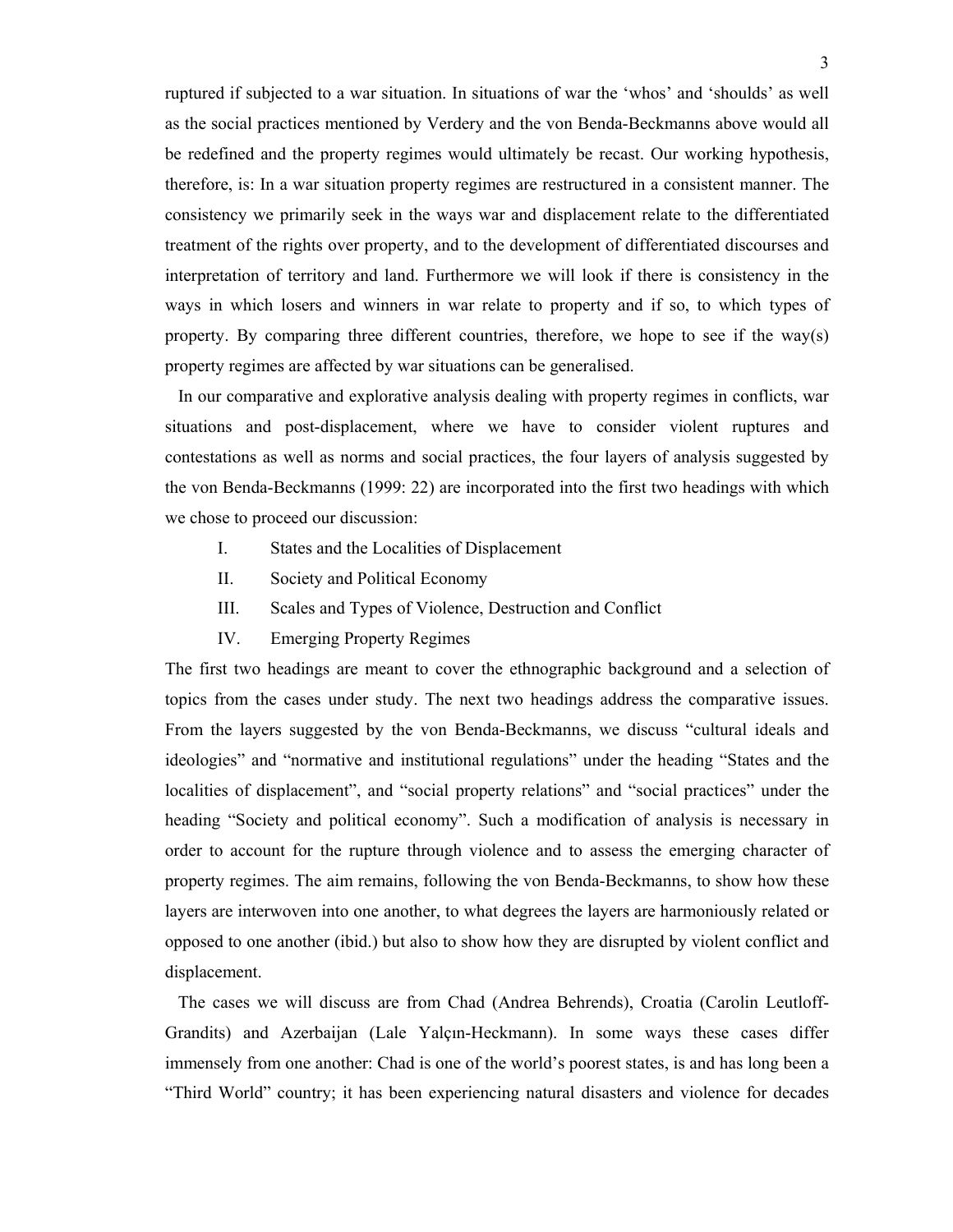ruptured if subjected to a war situation. In situations of war the 'whos' and 'shoulds' as well as the social practices mentioned by Verdery and the von Benda-Beckmanns above would all be redefined and the property regimes would ultimately be recast. Our working hypothesis, therefore, is: In a war situation property regimes are restructured in a consistent manner. The consistency we primarily seek in the ways war and displacement relate to the differentiated treatment of the rights over property, and to the development of differentiated discourses and interpretation of territory and land. Furthermore we will look if there is consistency in the ways in which losers and winners in war relate to property and if so, to which types of property. By comparing three different countries, therefore, we hope to see if the way(s) property regimes are affected by war situations can be generalised.

 In our comparative and explorative analysis dealing with property regimes in conflicts, war situations and post-displacement, where we have to consider violent ruptures and contestations as well as norms and social practices, the four layers of analysis suggested by the von Benda-Beckmanns (1999: 22) are incorporated into the first two headings with which we chose to proceed our discussion:

- I. States and the Localities of Displacement
- II. Society and Political Economy
- III. Scales and Types of Violence, Destruction and Conflict
- IV. Emerging Property Regimes

The first two headings are meant to cover the ethnographic background and a selection of topics from the cases under study. The next two headings address the comparative issues. From the layers suggested by the von Benda-Beckmanns, we discuss "cultural ideals and ideologies" and "normative and institutional regulations" under the heading "States and the localities of displacement", and "social property relations" and "social practices" under the heading "Society and political economy". Such a modification of analysis is necessary in order to account for the rupture through violence and to assess the emerging character of property regimes. The aim remains, following the von Benda-Beckmanns, to show how these layers are interwoven into one another, to what degrees the layers are harmoniously related or opposed to one another (ibid.) but also to show how they are disrupted by violent conflict and displacement.

 The cases we will discuss are from Chad (Andrea Behrends), Croatia (Carolin Leutloff-Grandits) and Azerbaijan (Lale Yalçın-Heckmann). In some ways these cases differ immensely from one another: Chad is one of the world's poorest states, is and has long been a "Third World" country; it has been experiencing natural disasters and violence for decades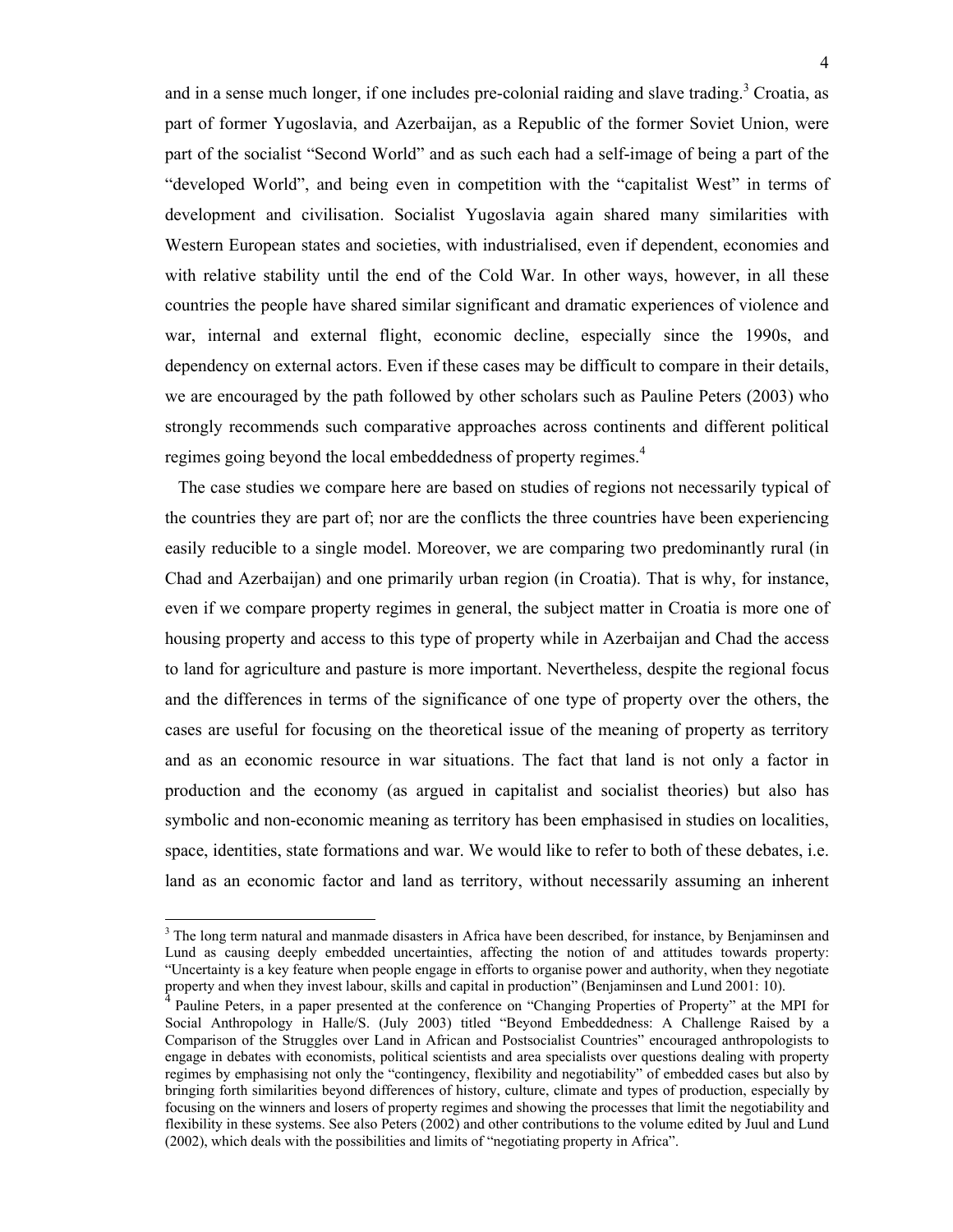and in a sense much longer, if one includes pre-colonial raiding and slave trading.<sup>3</sup> Croatia, as part of former Yugoslavia, and Azerbaijan, as a Republic of the former Soviet Union, were part of the socialist "Second World" and as such each had a self-image of being a part of the "developed World", and being even in competition with the "capitalist West" in terms of development and civilisation. Socialist Yugoslavia again shared many similarities with Western European states and societies, with industrialised, even if dependent, economies and with relative stability until the end of the Cold War. In other ways, however, in all these countries the people have shared similar significant and dramatic experiences of violence and war, internal and external flight, economic decline, especially since the 1990s, and dependency on external actors. Even if these cases may be difficult to compare in their details, we are encouraged by the path followed by other scholars such as Pauline Peters (2003) who strongly recommends such comparative approaches across continents and different political regimes going beyond the local embeddedness of property regimes.<sup>4</sup>

 The case studies we compare here are based on studies of regions not necessarily typical of the countries they are part of; nor are the conflicts the three countries have been experiencing easily reducible to a single model. Moreover, we are comparing two predominantly rural (in Chad and Azerbaijan) and one primarily urban region (in Croatia). That is why, for instance, even if we compare property regimes in general, the subject matter in Croatia is more one of housing property and access to this type of property while in Azerbaijan and Chad the access to land for agriculture and pasture is more important. Nevertheless, despite the regional focus and the differences in terms of the significance of one type of property over the others, the cases are useful for focusing on the theoretical issue of the meaning of property as territory and as an economic resource in war situations. The fact that land is not only a factor in production and the economy (as argued in capitalist and socialist theories) but also has symbolic and non-economic meaning as territory has been emphasised in studies on localities, space, identities, state formations and war. We would like to refer to both of these debates, i.e. land as an economic factor and land as territory, without necessarily assuming an inherent

 $\overline{a}$ 

<sup>&</sup>lt;sup>3</sup> The long term natural and manmade disasters in Africa have been described, for instance, by Benjaminsen and Lund as causing deeply embedded uncertainties, affecting the notion of and attitudes towards property: "Uncertainty is a key feature when people engage in efforts to organise power and authority, when they negotiate property and when they invest labour, skills and capital in production" (Benjaminsen and Lund 2001: 10).

<sup>4</sup> Pauline Peters, in a paper presented at the conference on "Changing Properties of Property" at the MPI for Social Anthropology in Halle/S. (July 2003) titled "Beyond Embeddedness: A Challenge Raised by a Comparison of the Struggles over Land in African and Postsocialist Countries" encouraged anthropologists to engage in debates with economists, political scientists and area specialists over questions dealing with property regimes by emphasising not only the "contingency, flexibility and negotiability" of embedded cases but also by bringing forth similarities beyond differences of history, culture, climate and types of production, especially by focusing on the winners and losers of property regimes and showing the processes that limit the negotiability and flexibility in these systems. See also Peters (2002) and other contributions to the volume edited by Juul and Lund (2002), which deals with the possibilities and limits of "negotiating property in Africa".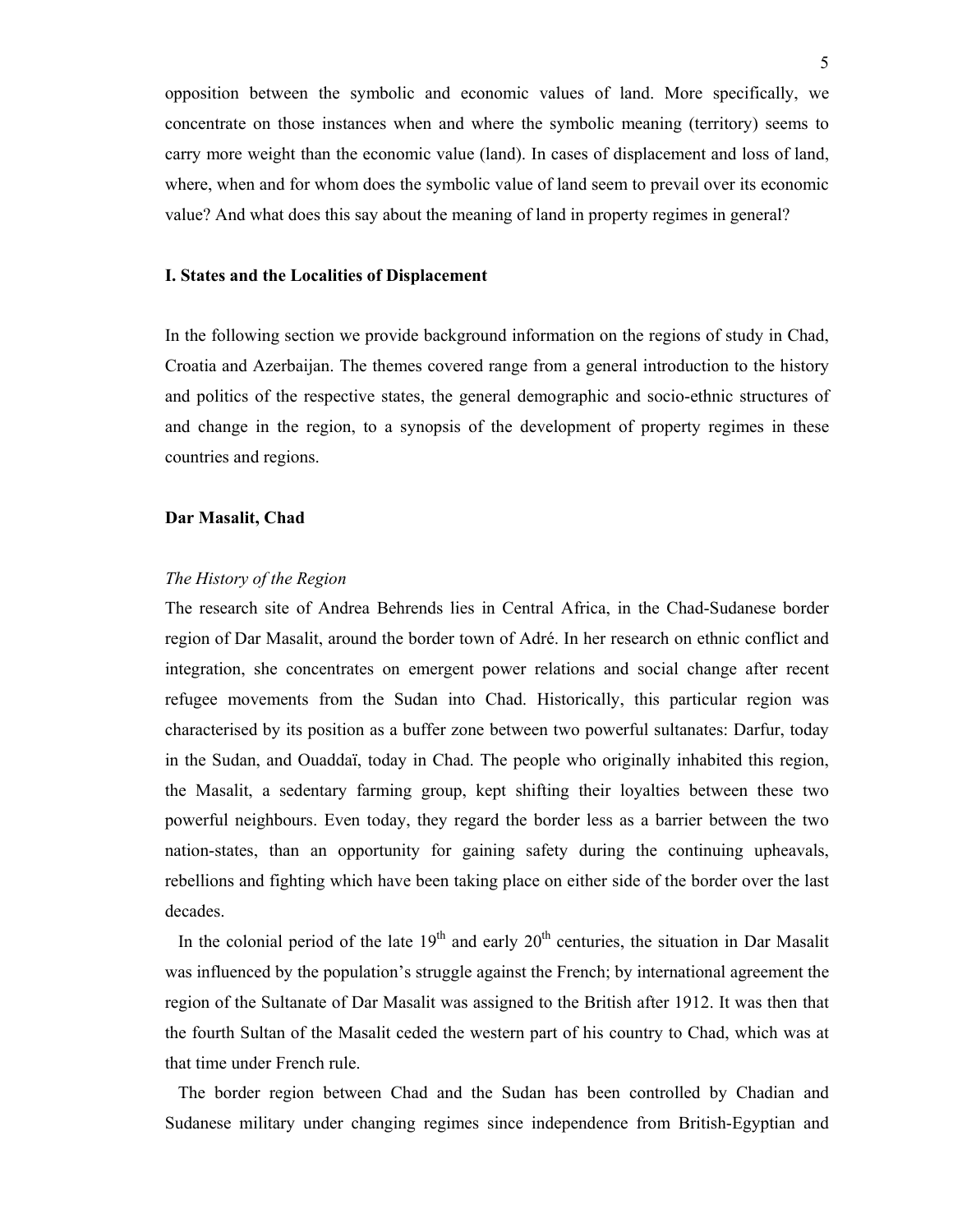opposition between the symbolic and economic values of land. More specifically, we concentrate on those instances when and where the symbolic meaning (territory) seems to carry more weight than the economic value (land). In cases of displacement and loss of land, where, when and for whom does the symbolic value of land seem to prevail over its economic value? And what does this say about the meaning of land in property regimes in general?

### **I. States and the Localities of Displacement**

In the following section we provide background information on the regions of study in Chad, Croatia and Azerbaijan. The themes covered range from a general introduction to the history and politics of the respective states, the general demographic and socio-ethnic structures of and change in the region, to a synopsis of the development of property regimes in these countries and regions.

## **Dar Masalit, Chad**

#### *The History of the Region*

The research site of Andrea Behrends lies in Central Africa, in the Chad-Sudanese border region of Dar Masalit, around the border town of Adré. In her research on ethnic conflict and integration, she concentrates on emergent power relations and social change after recent refugee movements from the Sudan into Chad. Historically, this particular region was characterised by its position as a buffer zone between two powerful sultanates: Darfur, today in the Sudan, and Ouaddaï, today in Chad. The people who originally inhabited this region, the Masalit, a sedentary farming group, kept shifting their loyalties between these two powerful neighbours. Even today, they regard the border less as a barrier between the two nation-states, than an opportunity for gaining safety during the continuing upheavals, rebellions and fighting which have been taking place on either side of the border over the last decades.

In the colonial period of the late  $19<sup>th</sup>$  and early  $20<sup>th</sup>$  centuries, the situation in Dar Masalit was influenced by the population's struggle against the French; by international agreement the region of the Sultanate of Dar Masalit was assigned to the British after 1912. It was then that the fourth Sultan of the Masalit ceded the western part of his country to Chad, which was at that time under French rule.

 The border region between Chad and the Sudan has been controlled by Chadian and Sudanese military under changing regimes since independence from British-Egyptian and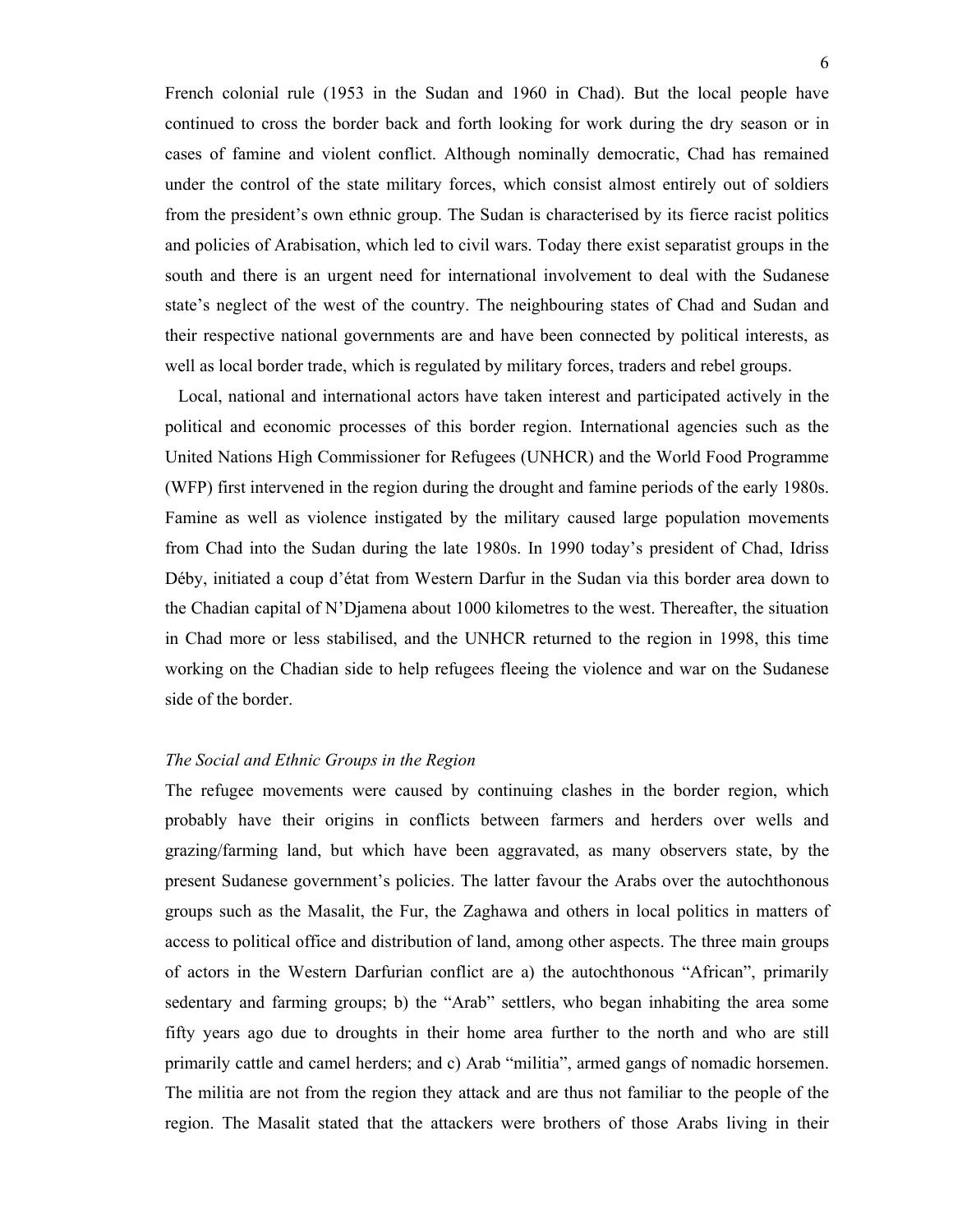French colonial rule (1953 in the Sudan and 1960 in Chad). But the local people have continued to cross the border back and forth looking for work during the dry season or in cases of famine and violent conflict. Although nominally democratic, Chad has remained under the control of the state military forces, which consist almost entirely out of soldiers from the president's own ethnic group. The Sudan is characterised by its fierce racist politics and policies of Arabisation, which led to civil wars. Today there exist separatist groups in the south and there is an urgent need for international involvement to deal with the Sudanese state's neglect of the west of the country. The neighbouring states of Chad and Sudan and their respective national governments are and have been connected by political interests, as well as local border trade, which is regulated by military forces, traders and rebel groups.

 Local, national and international actors have taken interest and participated actively in the political and economic processes of this border region. International agencies such as the United Nations High Commissioner for Refugees (UNHCR) and the World Food Programme (WFP) first intervened in the region during the drought and famine periods of the early 1980s. Famine as well as violence instigated by the military caused large population movements from Chad into the Sudan during the late 1980s. In 1990 today's president of Chad, Idriss Déby, initiated a coup d'état from Western Darfur in the Sudan via this border area down to the Chadian capital of N'Djamena about 1000 kilometres to the west. Thereafter, the situation in Chad more or less stabilised, and the UNHCR returned to the region in 1998, this time working on the Chadian side to help refugees fleeing the violence and war on the Sudanese side of the border.

## *The Social and Ethnic Groups in the Region*

The refugee movements were caused by continuing clashes in the border region, which probably have their origins in conflicts between farmers and herders over wells and grazing/farming land, but which have been aggravated, as many observers state, by the present Sudanese government's policies. The latter favour the Arabs over the autochthonous groups such as the Masalit, the Fur, the Zaghawa and others in local politics in matters of access to political office and distribution of land, among other aspects. The three main groups of actors in the Western Darfurian conflict are a) the autochthonous "African", primarily sedentary and farming groups; b) the "Arab" settlers, who began inhabiting the area some fifty years ago due to droughts in their home area further to the north and who are still primarily cattle and camel herders; and c) Arab "militia", armed gangs of nomadic horsemen. The militia are not from the region they attack and are thus not familiar to the people of the region. The Masalit stated that the attackers were brothers of those Arabs living in their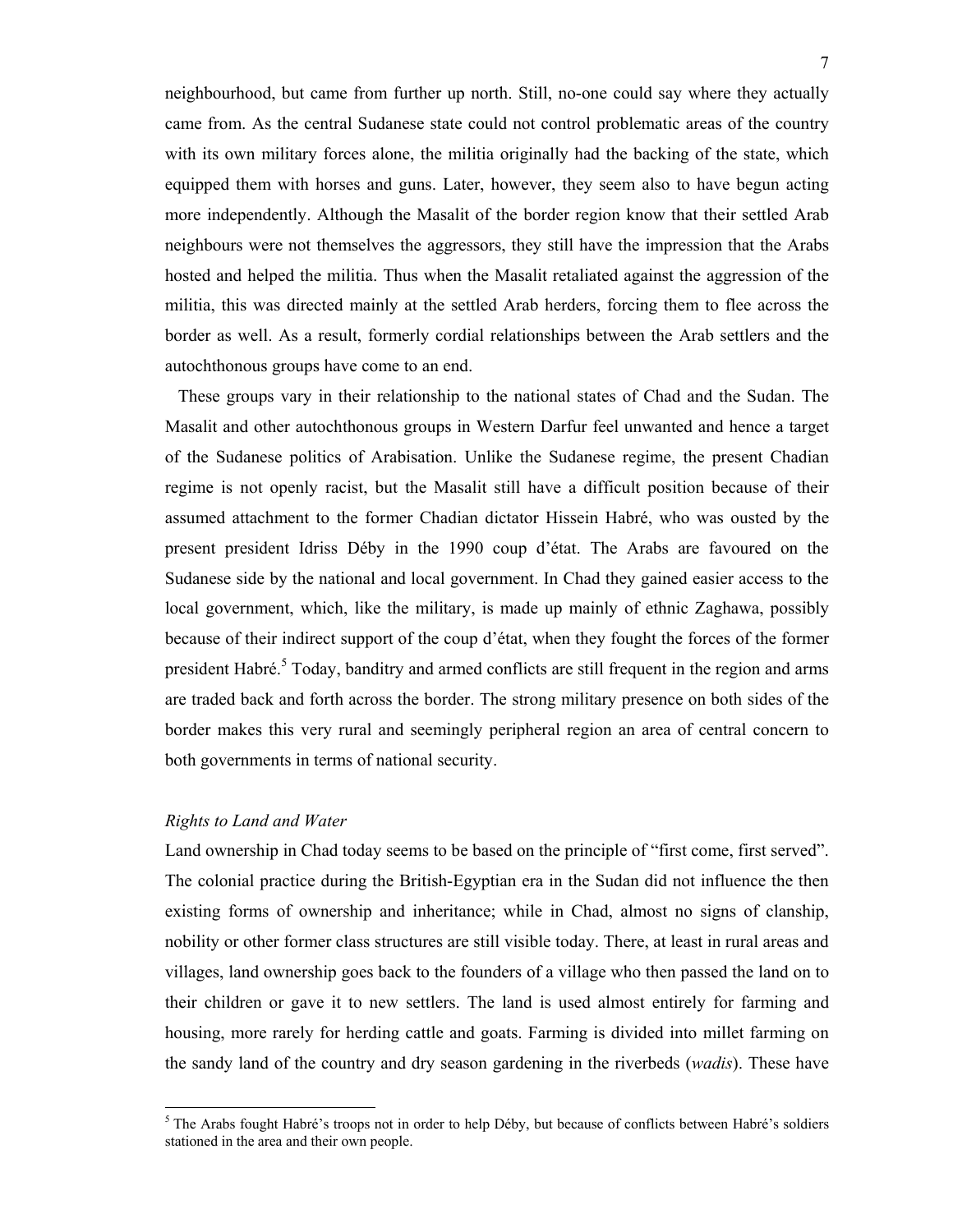neighbourhood, but came from further up north. Still, no-one could say where they actually came from. As the central Sudanese state could not control problematic areas of the country with its own military forces alone, the militia originally had the backing of the state, which equipped them with horses and guns. Later, however, they seem also to have begun acting more independently. Although the Masalit of the border region know that their settled Arab neighbours were not themselves the aggressors, they still have the impression that the Arabs hosted and helped the militia. Thus when the Masalit retaliated against the aggression of the militia, this was directed mainly at the settled Arab herders, forcing them to flee across the border as well. As a result, formerly cordial relationships between the Arab settlers and the autochthonous groups have come to an end.

 These groups vary in their relationship to the national states of Chad and the Sudan. The Masalit and other autochthonous groups in Western Darfur feel unwanted and hence a target of the Sudanese politics of Arabisation. Unlike the Sudanese regime, the present Chadian regime is not openly racist, but the Masalit still have a difficult position because of their assumed attachment to the former Chadian dictator Hissein Habré, who was ousted by the present president Idriss Déby in the 1990 coup d'état. The Arabs are favoured on the Sudanese side by the national and local government. In Chad they gained easier access to the local government, which, like the military, is made up mainly of ethnic Zaghawa, possibly because of their indirect support of the coup d'état, when they fought the forces of the former president Habré.<sup>5</sup> Today, banditry and armed conflicts are still frequent in the region and arms are traded back and forth across the border. The strong military presence on both sides of the border makes this very rural and seemingly peripheral region an area of central concern to both governments in terms of national security.

## *Rights to Land and Water*

 $\overline{a}$ 

Land ownership in Chad today seems to be based on the principle of "first come, first served". The colonial practice during the British-Egyptian era in the Sudan did not influence the then existing forms of ownership and inheritance; while in Chad, almost no signs of clanship, nobility or other former class structures are still visible today. There, at least in rural areas and villages, land ownership goes back to the founders of a village who then passed the land on to their children or gave it to new settlers. The land is used almost entirely for farming and housing, more rarely for herding cattle and goats. Farming is divided into millet farming on the sandy land of the country and dry season gardening in the riverbeds (*wadis*). These have

<sup>&</sup>lt;sup>5</sup> The Arabs fought Habré's troops not in order to help Déby, but because of conflicts between Habré's soldiers stationed in the area and their own people.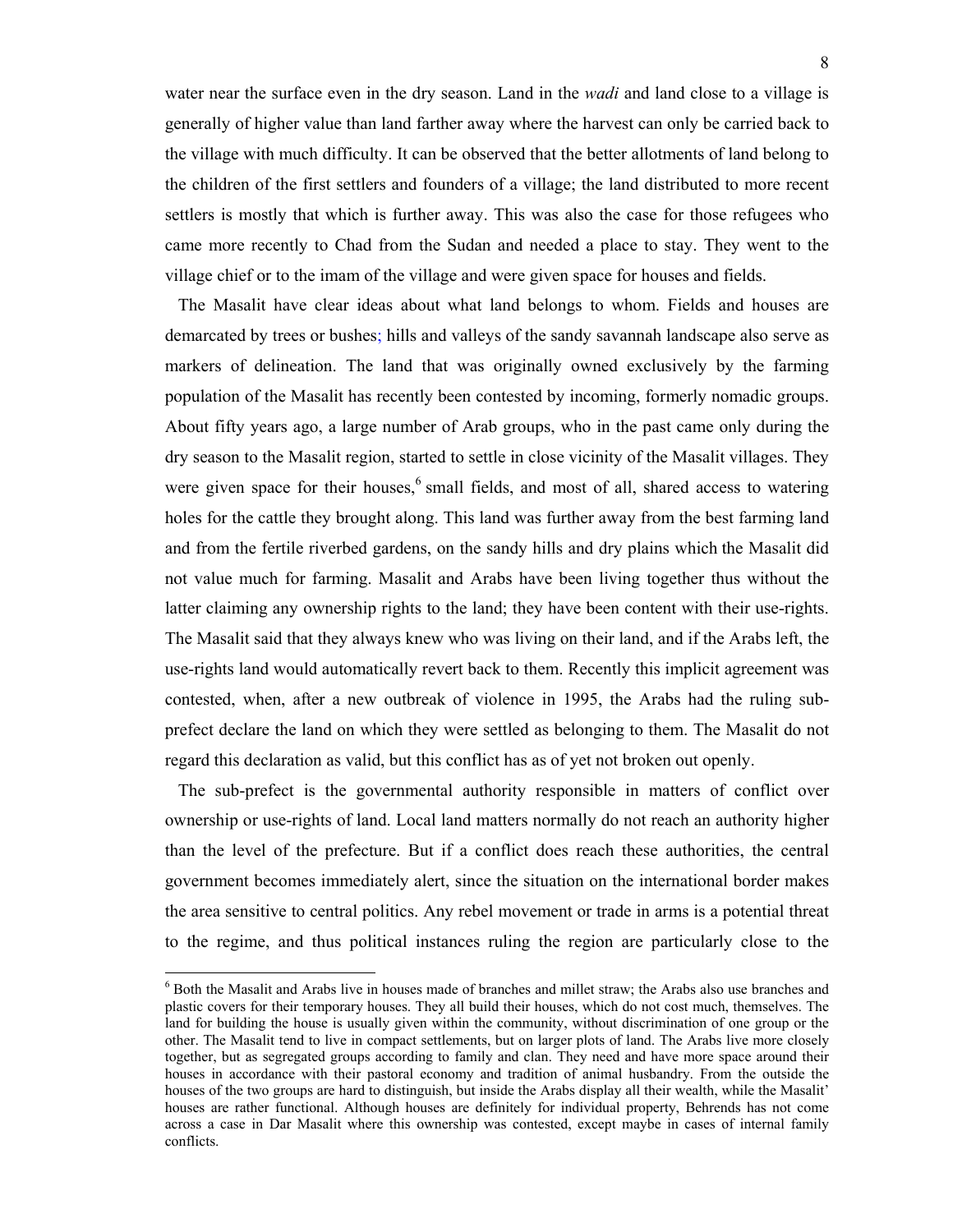water near the surface even in the dry season. Land in the *wadi* and land close to a village is generally of higher value than land farther away where the harvest can only be carried back to the village with much difficulty. It can be observed that the better allotments of land belong to the children of the first settlers and founders of a village; the land distributed to more recent settlers is mostly that which is further away. This was also the case for those refugees who came more recently to Chad from the Sudan and needed a place to stay. They went to the village chief or to the imam of the village and were given space for houses and fields.

 The Masalit have clear ideas about what land belongs to whom. Fields and houses are demarcated by trees or bushes; hills and valleys of the sandy savannah landscape also serve as markers of delineation. The land that was originally owned exclusively by the farming population of the Masalit has recently been contested by incoming, formerly nomadic groups. About fifty years ago, a large number of Arab groups, who in the past came only during the dry season to the Masalit region, started to settle in close vicinity of the Masalit villages. They were given space for their houses, $6$  small fields, and most of all, shared access to watering holes for the cattle they brought along. This land was further away from the best farming land and from the fertile riverbed gardens, on the sandy hills and dry plains which the Masalit did not value much for farming. Masalit and Arabs have been living together thus without the latter claiming any ownership rights to the land; they have been content with their use-rights. The Masalit said that they always knew who was living on their land, and if the Arabs left, the use-rights land would automatically revert back to them. Recently this implicit agreement was contested, when, after a new outbreak of violence in 1995, the Arabs had the ruling subprefect declare the land on which they were settled as belonging to them. The Masalit do not regard this declaration as valid, but this conflict has as of yet not broken out openly.

 The sub-prefect is the governmental authority responsible in matters of conflict over ownership or use-rights of land. Local land matters normally do not reach an authority higher than the level of the prefecture. But if a conflict does reach these authorities, the central government becomes immediately alert, since the situation on the international border makes the area sensitive to central politics. Any rebel movement or trade in arms is a potential threat to the regime, and thus political instances ruling the region are particularly close to the

 $\overline{a}$ 

<sup>&</sup>lt;sup>6</sup> Both the Masalit and Arabs live in houses made of branches and millet straw; the Arabs also use branches and plastic covers for their temporary houses. They all build their houses, which do not cost much, themselves. The land for building the house is usually given within the community, without discrimination of one group or the other. The Masalit tend to live in compact settlements, but on larger plots of land. The Arabs live more closely together, but as segregated groups according to family and clan. They need and have more space around their houses in accordance with their pastoral economy and tradition of animal husbandry. From the outside the houses of the two groups are hard to distinguish, but inside the Arabs display all their wealth, while the Masalit' houses are rather functional. Although houses are definitely for individual property, Behrends has not come across a case in Dar Masalit where this ownership was contested, except maybe in cases of internal family conflicts.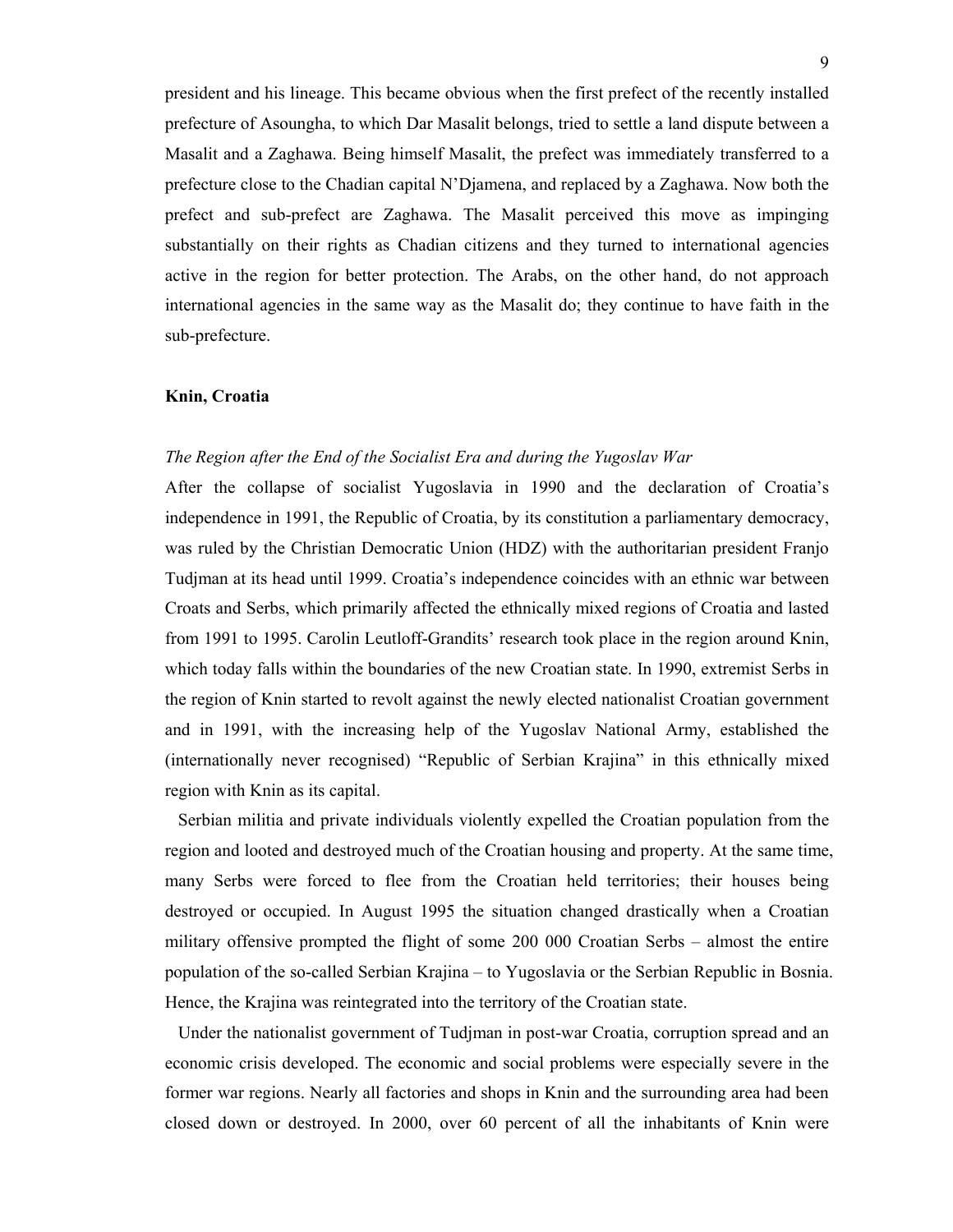president and his lineage. This became obvious when the first prefect of the recently installed prefecture of Asoungha, to which Dar Masalit belongs, tried to settle a land dispute between a Masalit and a Zaghawa. Being himself Masalit, the prefect was immediately transferred to a prefecture close to the Chadian capital N'Djamena, and replaced by a Zaghawa. Now both the prefect and sub-prefect are Zaghawa. The Masalit perceived this move as impinging substantially on their rights as Chadian citizens and they turned to international agencies active in the region for better protection. The Arabs, on the other hand, do not approach international agencies in the same way as the Masalit do; they continue to have faith in the sub-prefecture.

#### **Knin, Croatia**

#### *The Region after the End of the Socialist Era and during the Yugoslav War*

After the collapse of socialist Yugoslavia in 1990 and the declaration of Croatia's independence in 1991, the Republic of Croatia, by its constitution a parliamentary democracy, was ruled by the Christian Democratic Union (HDZ) with the authoritarian president Franjo Tudjman at its head until 1999. Croatia's independence coincides with an ethnic war between Croats and Serbs, which primarily affected the ethnically mixed regions of Croatia and lasted from 1991 to 1995. Carolin Leutloff-Grandits' research took place in the region around Knin, which today falls within the boundaries of the new Croatian state. In 1990, extremist Serbs in the region of Knin started to revolt against the newly elected nationalist Croatian government and in 1991, with the increasing help of the Yugoslav National Army, established the (internationally never recognised) "Republic of Serbian Krajina" in this ethnically mixed region with Knin as its capital.

 Serbian militia and private individuals violently expelled the Croatian population from the region and looted and destroyed much of the Croatian housing and property. At the same time, many Serbs were forced to flee from the Croatian held territories; their houses being destroyed or occupied. In August 1995 the situation changed drastically when a Croatian military offensive prompted the flight of some 200 000 Croatian Serbs – almost the entire population of the so-called Serbian Krajina – to Yugoslavia or the Serbian Republic in Bosnia. Hence, the Krajina was reintegrated into the territory of the Croatian state.

 Under the nationalist government of Tudjman in post-war Croatia, corruption spread and an economic crisis developed. The economic and social problems were especially severe in the former war regions. Nearly all factories and shops in Knin and the surrounding area had been closed down or destroyed. In 2000, over 60 percent of all the inhabitants of Knin were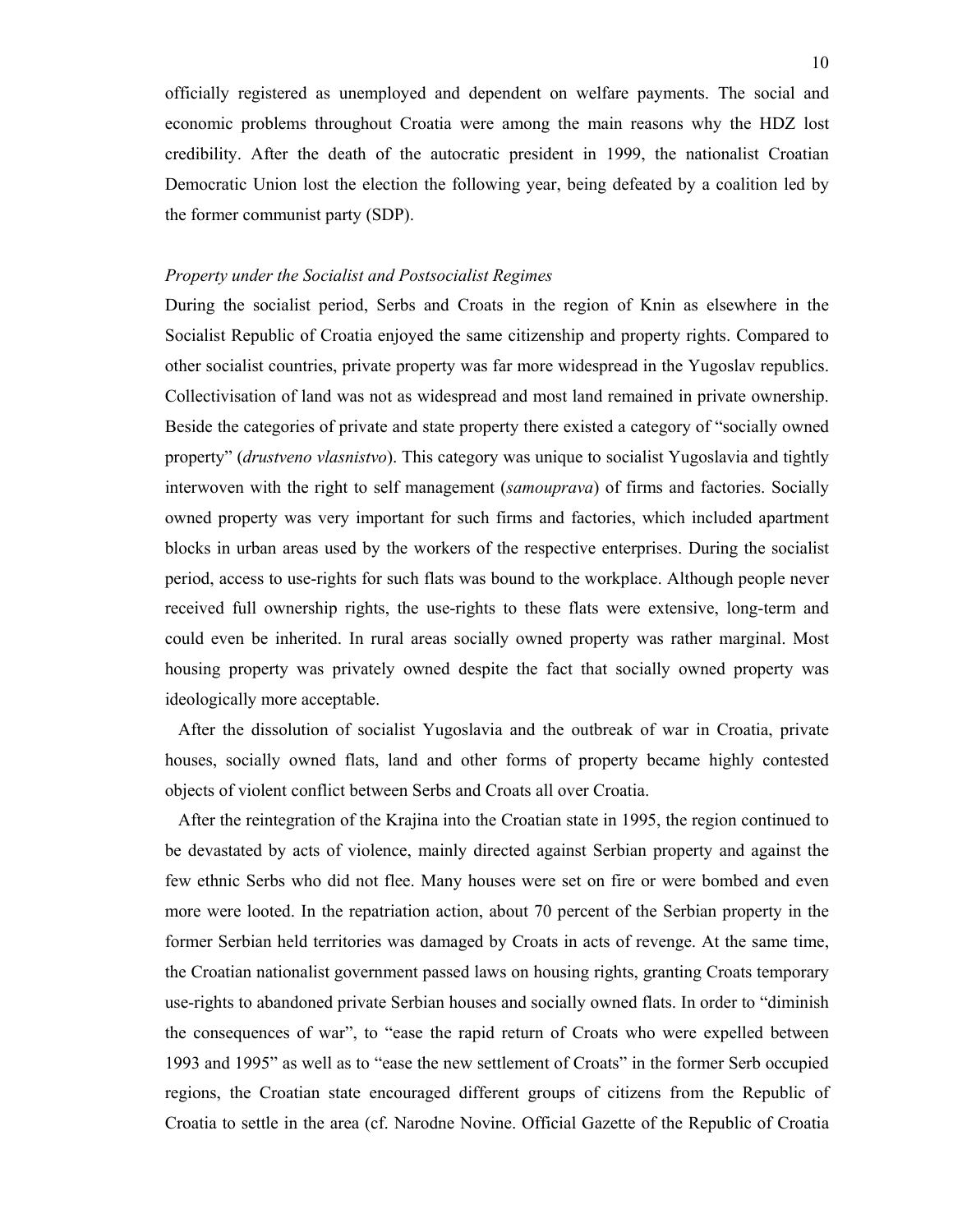officially registered as unemployed and dependent on welfare payments. The social and economic problems throughout Croatia were among the main reasons why the HDZ lost credibility. After the death of the autocratic president in 1999, the nationalist Croatian Democratic Union lost the election the following year, being defeated by a coalition led by the former communist party (SDP).

### *Property under the Socialist and Postsocialist Regimes*

During the socialist period, Serbs and Croats in the region of Knin as elsewhere in the Socialist Republic of Croatia enjoyed the same citizenship and property rights. Compared to other socialist countries, private property was far more widespread in the Yugoslav republics. Collectivisation of land was not as widespread and most land remained in private ownership. Beside the categories of private and state property there existed a category of "socially owned property" (*drustveno vlasnistvo*). This category was unique to socialist Yugoslavia and tightly interwoven with the right to self management (*samouprava*) of firms and factories. Socially owned property was very important for such firms and factories, which included apartment blocks in urban areas used by the workers of the respective enterprises. During the socialist period, access to use-rights for such flats was bound to the workplace. Although people never received full ownership rights, the use-rights to these flats were extensive, long-term and could even be inherited. In rural areas socially owned property was rather marginal. Most housing property was privately owned despite the fact that socially owned property was ideologically more acceptable.

 After the dissolution of socialist Yugoslavia and the outbreak of war in Croatia, private houses, socially owned flats, land and other forms of property became highly contested objects of violent conflict between Serbs and Croats all over Croatia.

 After the reintegration of the Krajina into the Croatian state in 1995, the region continued to be devastated by acts of violence, mainly directed against Serbian property and against the few ethnic Serbs who did not flee. Many houses were set on fire or were bombed and even more were looted. In the repatriation action, about 70 percent of the Serbian property in the former Serbian held territories was damaged by Croats in acts of revenge. At the same time, the Croatian nationalist government passed laws on housing rights, granting Croats temporary use-rights to abandoned private Serbian houses and socially owned flats. In order to "diminish the consequences of war", to "ease the rapid return of Croats who were expelled between 1993 and 1995" as well as to "ease the new settlement of Croats" in the former Serb occupied regions, the Croatian state encouraged different groups of citizens from the Republic of Croatia to settle in the area (cf. Narodne Novine. Official Gazette of the Republic of Croatia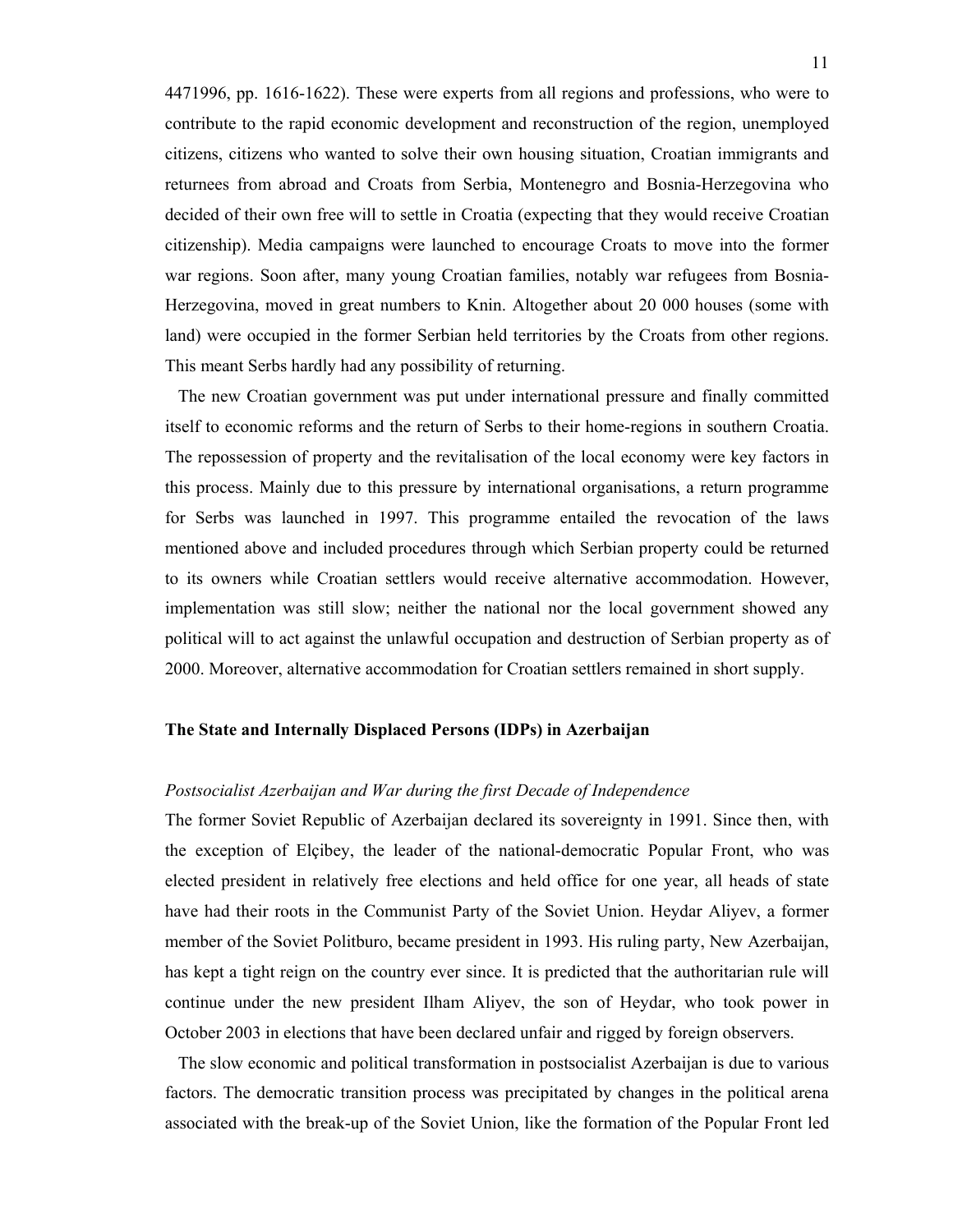4471996, pp. 1616-1622). These were experts from all regions and professions, who were to contribute to the rapid economic development and reconstruction of the region, unemployed citizens, citizens who wanted to solve their own housing situation, Croatian immigrants and returnees from abroad and Croats from Serbia, Montenegro and Bosnia-Herzegovina who decided of their own free will to settle in Croatia (expecting that they would receive Croatian citizenship). Media campaigns were launched to encourage Croats to move into the former war regions. Soon after, many young Croatian families, notably war refugees from Bosnia-Herzegovina, moved in great numbers to Knin. Altogether about 20 000 houses (some with land) were occupied in the former Serbian held territories by the Croats from other regions. This meant Serbs hardly had any possibility of returning.

 The new Croatian government was put under international pressure and finally committed itself to economic reforms and the return of Serbs to their home-regions in southern Croatia. The repossession of property and the revitalisation of the local economy were key factors in this process. Mainly due to this pressure by international organisations, a return programme for Serbs was launched in 1997. This programme entailed the revocation of the laws mentioned above and included procedures through which Serbian property could be returned to its owners while Croatian settlers would receive alternative accommodation. However, implementation was still slow; neither the national nor the local government showed any political will to act against the unlawful occupation and destruction of Serbian property as of 2000. Moreover, alternative accommodation for Croatian settlers remained in short supply.

## **The State and Internally Displaced Persons (IDPs) in Azerbaijan**

## *Postsocialist Azerbaijan and War during the first Decade of Independence*

The former Soviet Republic of Azerbaijan declared its sovereignty in 1991. Since then, with the exception of Elçibey, the leader of the national-democratic Popular Front, who was elected president in relatively free elections and held office for one year, all heads of state have had their roots in the Communist Party of the Soviet Union. Heydar Aliyev, a former member of the Soviet Politburo, became president in 1993. His ruling party, New Azerbaijan, has kept a tight reign on the country ever since. It is predicted that the authoritarian rule will continue under the new president Ilham Aliyev, the son of Heydar, who took power in October 2003 in elections that have been declared unfair and rigged by foreign observers.

 The slow economic and political transformation in postsocialist Azerbaijan is due to various factors. The democratic transition process was precipitated by changes in the political arena associated with the break-up of the Soviet Union, like the formation of the Popular Front led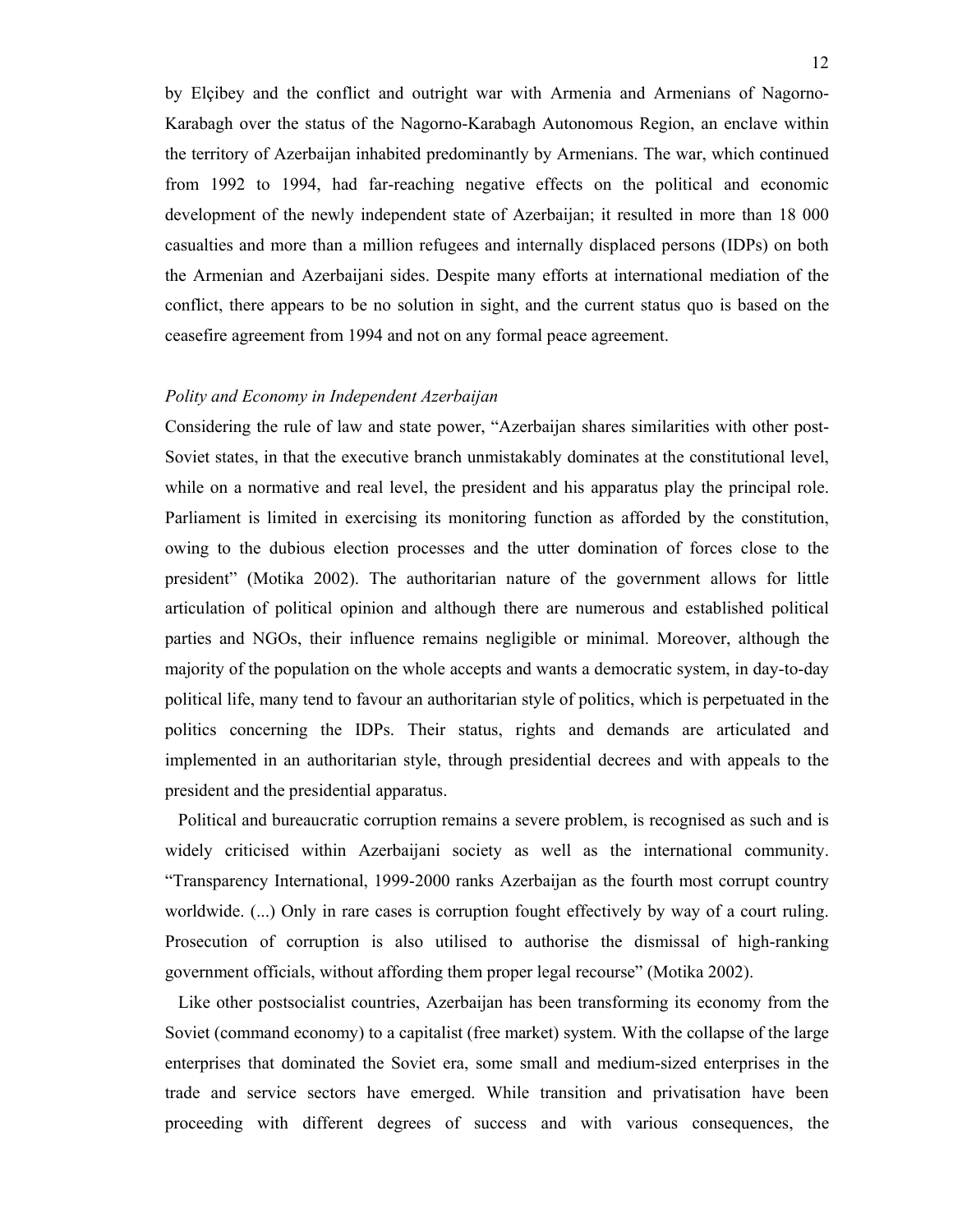by Elçibey and the conflict and outright war with Armenia and Armenians of Nagorno-Karabagh over the status of the Nagorno-Karabagh Autonomous Region, an enclave within the territory of Azerbaijan inhabited predominantly by Armenians. The war, which continued from 1992 to 1994, had far-reaching negative effects on the political and economic development of the newly independent state of Azerbaijan; it resulted in more than 18 000 casualties and more than a million refugees and internally displaced persons (IDPs) on both the Armenian and Azerbaijani sides. Despite many efforts at international mediation of the conflict, there appears to be no solution in sight, and the current status quo is based on the ceasefire agreement from 1994 and not on any formal peace agreement.

#### *Polity and Economy in Independent Azerbaijan*

Considering the rule of law and state power, "Azerbaijan shares similarities with other post-Soviet states, in that the executive branch unmistakably dominates at the constitutional level, while on a normative and real level, the president and his apparatus play the principal role. Parliament is limited in exercising its monitoring function as afforded by the constitution, owing to the dubious election processes and the utter domination of forces close to the president" (Motika 2002). The authoritarian nature of the government allows for little articulation of political opinion and although there are numerous and established political parties and NGOs, their influence remains negligible or minimal. Moreover, although the majority of the population on the whole accepts and wants a democratic system, in day-to-day political life, many tend to favour an authoritarian style of politics, which is perpetuated in the politics concerning the IDPs. Their status, rights and demands are articulated and implemented in an authoritarian style, through presidential decrees and with appeals to the president and the presidential apparatus.

 Political and bureaucratic corruption remains a severe problem, is recognised as such and is widely criticised within Azerbaijani society as well as the international community. "Transparency International, 1999-2000 ranks Azerbaijan as the fourth most corrupt country worldwide. (...) Only in rare cases is corruption fought effectively by way of a court ruling. Prosecution of corruption is also utilised to authorise the dismissal of high-ranking government officials, without affording them proper legal recourse" (Motika 2002).

 Like other postsocialist countries, Azerbaijan has been transforming its economy from the Soviet (command economy) to a capitalist (free market) system. With the collapse of the large enterprises that dominated the Soviet era, some small and medium-sized enterprises in the trade and service sectors have emerged. While transition and privatisation have been proceeding with different degrees of success and with various consequences, the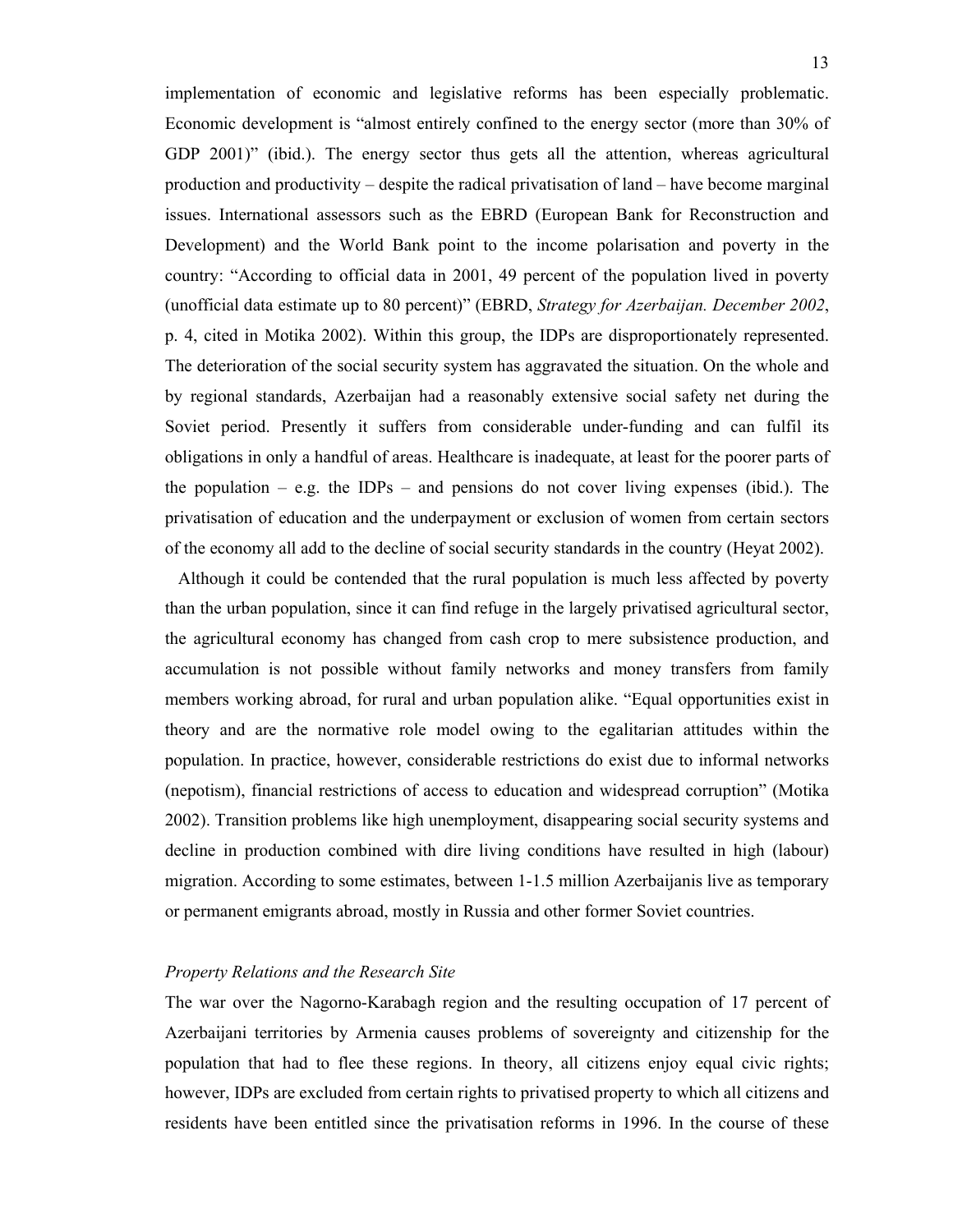implementation of economic and legislative reforms has been especially problematic. Economic development is "almost entirely confined to the energy sector (more than 30% of GDP 2001)" (ibid.). The energy sector thus gets all the attention, whereas agricultural production and productivity – despite the radical privatisation of land – have become marginal issues. International assessors such as the EBRD (European Bank for Reconstruction and Development) and the World Bank point to the income polarisation and poverty in the country: "According to official data in 2001, 49 percent of the population lived in poverty (unofficial data estimate up to 80 percent)" (EBRD, *Strategy for Azerbaijan. December 2002*, p. 4, cited in Motika 2002). Within this group, the IDPs are disproportionately represented. The deterioration of the social security system has aggravated the situation. On the whole and by regional standards, Azerbaijan had a reasonably extensive social safety net during the Soviet period. Presently it suffers from considerable under-funding and can fulfil its obligations in only a handful of areas. Healthcare is inadequate, at least for the poorer parts of the population  $-$  e.g. the IDPs  $-$  and pensions do not cover living expenses (ibid.). The privatisation of education and the underpayment or exclusion of women from certain sectors of the economy all add to the decline of social security standards in the country (Heyat 2002).

 Although it could be contended that the rural population is much less affected by poverty than the urban population, since it can find refuge in the largely privatised agricultural sector, the agricultural economy has changed from cash crop to mere subsistence production, and accumulation is not possible without family networks and money transfers from family members working abroad, for rural and urban population alike. "Equal opportunities exist in theory and are the normative role model owing to the egalitarian attitudes within the population. In practice, however, considerable restrictions do exist due to informal networks (nepotism), financial restrictions of access to education and widespread corruption" (Motika 2002). Transition problems like high unemployment, disappearing social security systems and decline in production combined with dire living conditions have resulted in high (labour) migration. According to some estimates, between 1-1.5 million Azerbaijanis live as temporary or permanent emigrants abroad, mostly in Russia and other former Soviet countries.

#### *Property Relations and the Research Site*

The war over the Nagorno-Karabagh region and the resulting occupation of 17 percent of Azerbaijani territories by Armenia causes problems of sovereignty and citizenship for the population that had to flee these regions. In theory, all citizens enjoy equal civic rights; however, IDPs are excluded from certain rights to privatised property to which all citizens and residents have been entitled since the privatisation reforms in 1996. In the course of these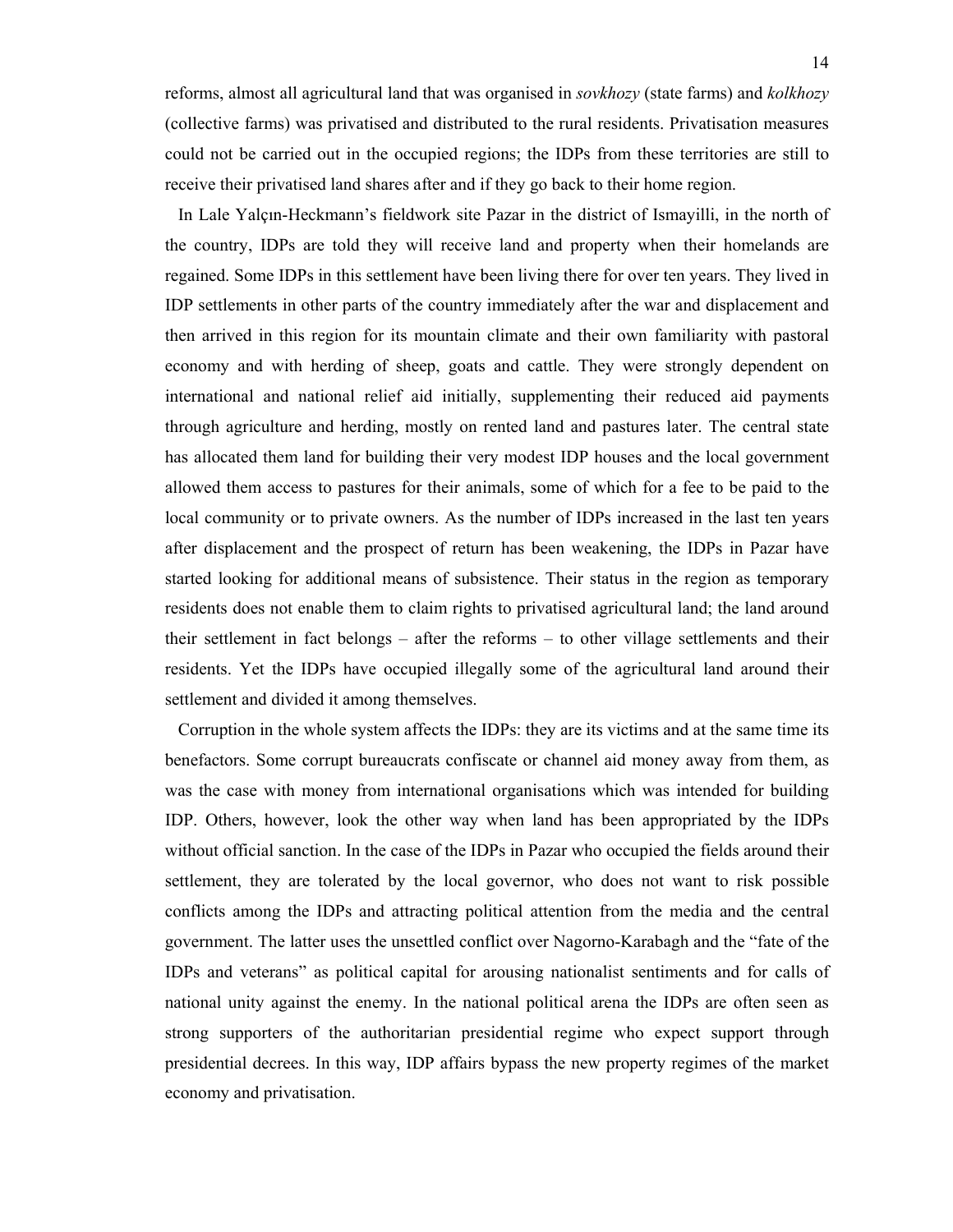reforms, almost all agricultural land that was organised in *sovkhozy* (state farms) and *kolkhozy* (collective farms) was privatised and distributed to the rural residents. Privatisation measures could not be carried out in the occupied regions; the IDPs from these territories are still to receive their privatised land shares after and if they go back to their home region.

 In Lale Yalçın-Heckmann's fieldwork site Pazar in the district of Ismayilli, in the north of the country, IDPs are told they will receive land and property when their homelands are regained. Some IDPs in this settlement have been living there for over ten years. They lived in IDP settlements in other parts of the country immediately after the war and displacement and then arrived in this region for its mountain climate and their own familiarity with pastoral economy and with herding of sheep, goats and cattle. They were strongly dependent on international and national relief aid initially, supplementing their reduced aid payments through agriculture and herding, mostly on rented land and pastures later. The central state has allocated them land for building their very modest IDP houses and the local government allowed them access to pastures for their animals, some of which for a fee to be paid to the local community or to private owners. As the number of IDPs increased in the last ten years after displacement and the prospect of return has been weakening, the IDPs in Pazar have started looking for additional means of subsistence. Their status in the region as temporary residents does not enable them to claim rights to privatised agricultural land; the land around their settlement in fact belongs – after the reforms – to other village settlements and their residents. Yet the IDPs have occupied illegally some of the agricultural land around their settlement and divided it among themselves.

 Corruption in the whole system affects the IDPs: they are its victims and at the same time its benefactors. Some corrupt bureaucrats confiscate or channel aid money away from them, as was the case with money from international organisations which was intended for building IDP. Others, however, look the other way when land has been appropriated by the IDPs without official sanction. In the case of the IDPs in Pazar who occupied the fields around their settlement, they are tolerated by the local governor, who does not want to risk possible conflicts among the IDPs and attracting political attention from the media and the central government. The latter uses the unsettled conflict over Nagorno-Karabagh and the "fate of the IDPs and veterans" as political capital for arousing nationalist sentiments and for calls of national unity against the enemy. In the national political arena the IDPs are often seen as strong supporters of the authoritarian presidential regime who expect support through presidential decrees. In this way, IDP affairs bypass the new property regimes of the market economy and privatisation.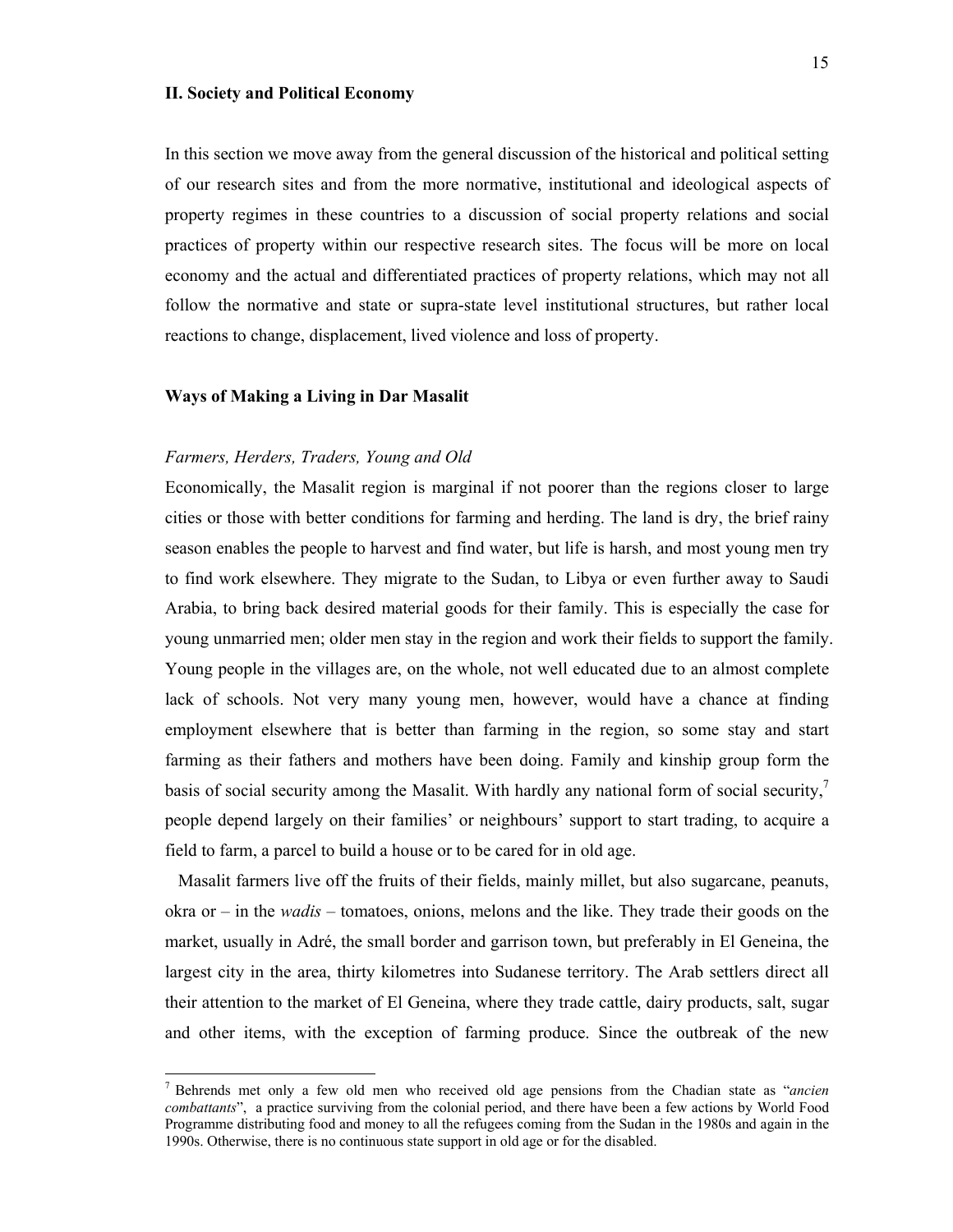## **II. Society and Political Economy**

In this section we move away from the general discussion of the historical and political setting of our research sites and from the more normative, institutional and ideological aspects of property regimes in these countries to a discussion of social property relations and social practices of property within our respective research sites. The focus will be more on local economy and the actual and differentiated practices of property relations, which may not all follow the normative and state or supra-state level institutional structures, but rather local reactions to change, displacement, lived violence and loss of property.

## **Ways of Making a Living in Dar Masalit**

#### *Farmers, Herders, Traders, Young and Old*

Economically, the Masalit region is marginal if not poorer than the regions closer to large cities or those with better conditions for farming and herding. The land is dry, the brief rainy season enables the people to harvest and find water, but life is harsh, and most young men try to find work elsewhere. They migrate to the Sudan, to Libya or even further away to Saudi Arabia, to bring back desired material goods for their family. This is especially the case for young unmarried men; older men stay in the region and work their fields to support the family. Young people in the villages are, on the whole, not well educated due to an almost complete lack of schools. Not very many young men, however, would have a chance at finding employment elsewhere that is better than farming in the region, so some stay and start farming as their fathers and mothers have been doing. Family and kinship group form the basis of social security among the Masalit. With hardly any national form of social security, $\frac{7}{3}$ people depend largely on their families' or neighbours' support to start trading, to acquire a field to farm, a parcel to build a house or to be cared for in old age.

 Masalit farmers live off the fruits of their fields, mainly millet, but also sugarcane, peanuts, okra or – in the *wadis* – tomatoes, onions, melons and the like. They trade their goods on the market, usually in Adré, the small border and garrison town, but preferably in El Geneina, the largest city in the area, thirty kilometres into Sudanese territory. The Arab settlers direct all their attention to the market of El Geneina, where they trade cattle, dairy products, salt, sugar and other items, with the exception of farming produce. Since the outbreak of the new

<sup>7</sup> Behrends met only a few old men who received old age pensions from the Chadian state as "*ancien combattants*", a practice surviving from the colonial period, and there have been a few actions by World Food Programme distributing food and money to all the refugees coming from the Sudan in the 1980s and again in the 1990s. Otherwise, there is no continuous state support in old age or for the disabled.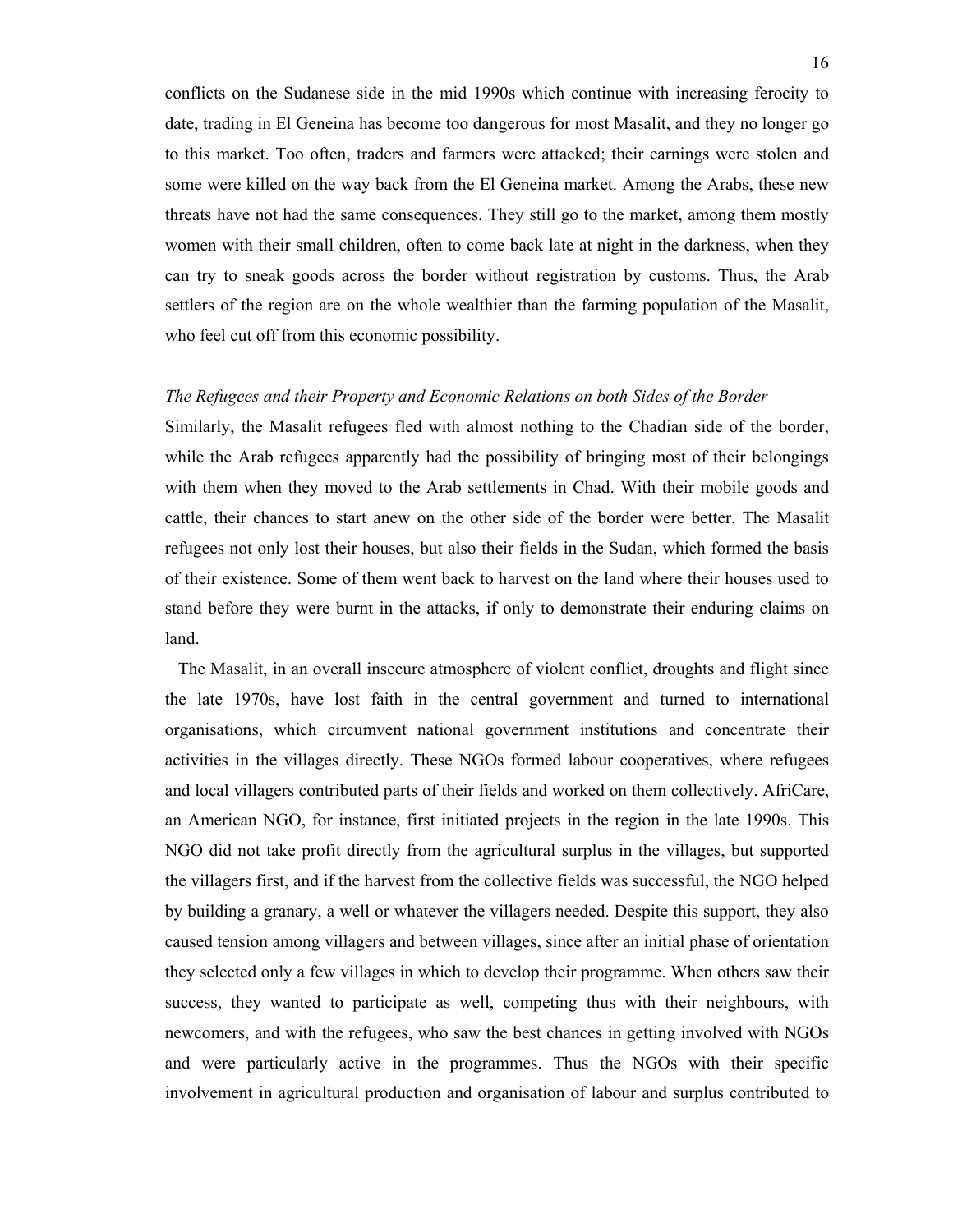conflicts on the Sudanese side in the mid 1990s which continue with increasing ferocity to date, trading in El Geneina has become too dangerous for most Masalit, and they no longer go to this market. Too often, traders and farmers were attacked; their earnings were stolen and some were killed on the way back from the El Geneina market. Among the Arabs, these new threats have not had the same consequences. They still go to the market, among them mostly women with their small children, often to come back late at night in the darkness, when they can try to sneak goods across the border without registration by customs. Thus, the Arab settlers of the region are on the whole wealthier than the farming population of the Masalit, who feel cut off from this economic possibility.

#### *The Refugees and their Property and Economic Relations on both Sides of the Border*

Similarly, the Masalit refugees fled with almost nothing to the Chadian side of the border, while the Arab refugees apparently had the possibility of bringing most of their belongings with them when they moved to the Arab settlements in Chad. With their mobile goods and cattle, their chances to start anew on the other side of the border were better. The Masalit refugees not only lost their houses, but also their fields in the Sudan, which formed the basis of their existence. Some of them went back to harvest on the land where their houses used to stand before they were burnt in the attacks, if only to demonstrate their enduring claims on land.

 The Masalit, in an overall insecure atmosphere of violent conflict, droughts and flight since the late 1970s, have lost faith in the central government and turned to international organisations, which circumvent national government institutions and concentrate their activities in the villages directly. These NGOs formed labour cooperatives, where refugees and local villagers contributed parts of their fields and worked on them collectively. AfriCare, an American NGO, for instance, first initiated projects in the region in the late 1990s. This NGO did not take profit directly from the agricultural surplus in the villages, but supported the villagers first, and if the harvest from the collective fields was successful, the NGO helped by building a granary, a well or whatever the villagers needed. Despite this support, they also caused tension among villagers and between villages, since after an initial phase of orientation they selected only a few villages in which to develop their programme. When others saw their success, they wanted to participate as well, competing thus with their neighbours, with newcomers, and with the refugees, who saw the best chances in getting involved with NGOs and were particularly active in the programmes. Thus the NGOs with their specific involvement in agricultural production and organisation of labour and surplus contributed to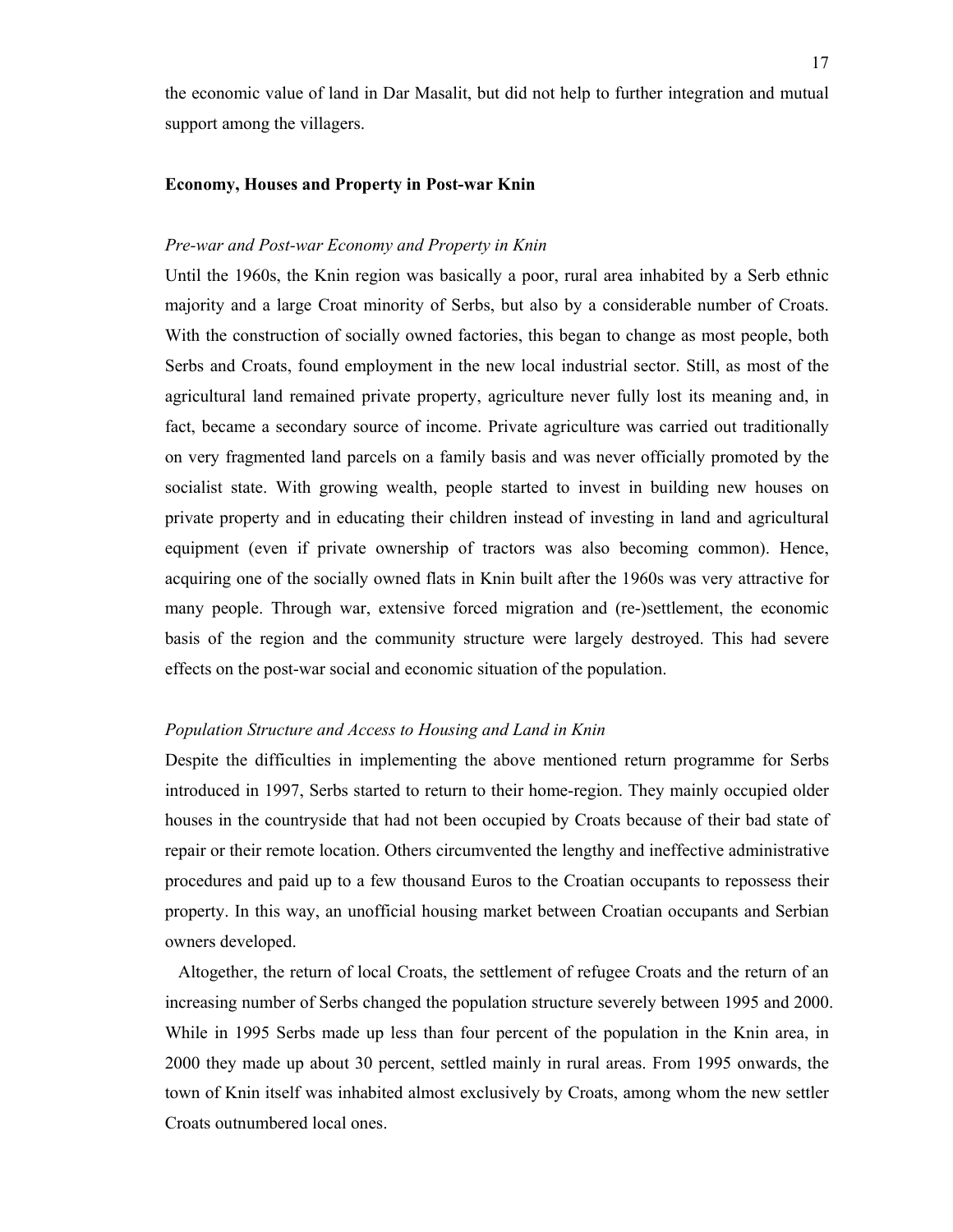the economic value of land in Dar Masalit, but did not help to further integration and mutual support among the villagers.

#### **Economy, Houses and Property in Post-war Knin**

## *Pre-war and Post-war Economy and Property in Knin*

Until the 1960s, the Knin region was basically a poor, rural area inhabited by a Serb ethnic majority and a large Croat minority of Serbs, but also by a considerable number of Croats. With the construction of socially owned factories, this began to change as most people, both Serbs and Croats, found employment in the new local industrial sector. Still, as most of the agricultural land remained private property, agriculture never fully lost its meaning and, in fact, became a secondary source of income. Private agriculture was carried out traditionally on very fragmented land parcels on a family basis and was never officially promoted by the socialist state. With growing wealth, people started to invest in building new houses on private property and in educating their children instead of investing in land and agricultural equipment (even if private ownership of tractors was also becoming common). Hence, acquiring one of the socially owned flats in Knin built after the 1960s was very attractive for many people. Through war, extensive forced migration and (re-)settlement, the economic basis of the region and the community structure were largely destroyed. This had severe effects on the post-war social and economic situation of the population.

## *Population Structure and Access to Housing and Land in Knin*

Despite the difficulties in implementing the above mentioned return programme for Serbs introduced in 1997, Serbs started to return to their home-region. They mainly occupied older houses in the countryside that had not been occupied by Croats because of their bad state of repair or their remote location. Others circumvented the lengthy and ineffective administrative procedures and paid up to a few thousand Euros to the Croatian occupants to repossess their property. In this way, an unofficial housing market between Croatian occupants and Serbian owners developed.

 Altogether, the return of local Croats, the settlement of refugee Croats and the return of an increasing number of Serbs changed the population structure severely between 1995 and 2000. While in 1995 Serbs made up less than four percent of the population in the Knin area, in 2000 they made up about 30 percent, settled mainly in rural areas. From 1995 onwards, the town of Knin itself was inhabited almost exclusively by Croats, among whom the new settler Croats outnumbered local ones.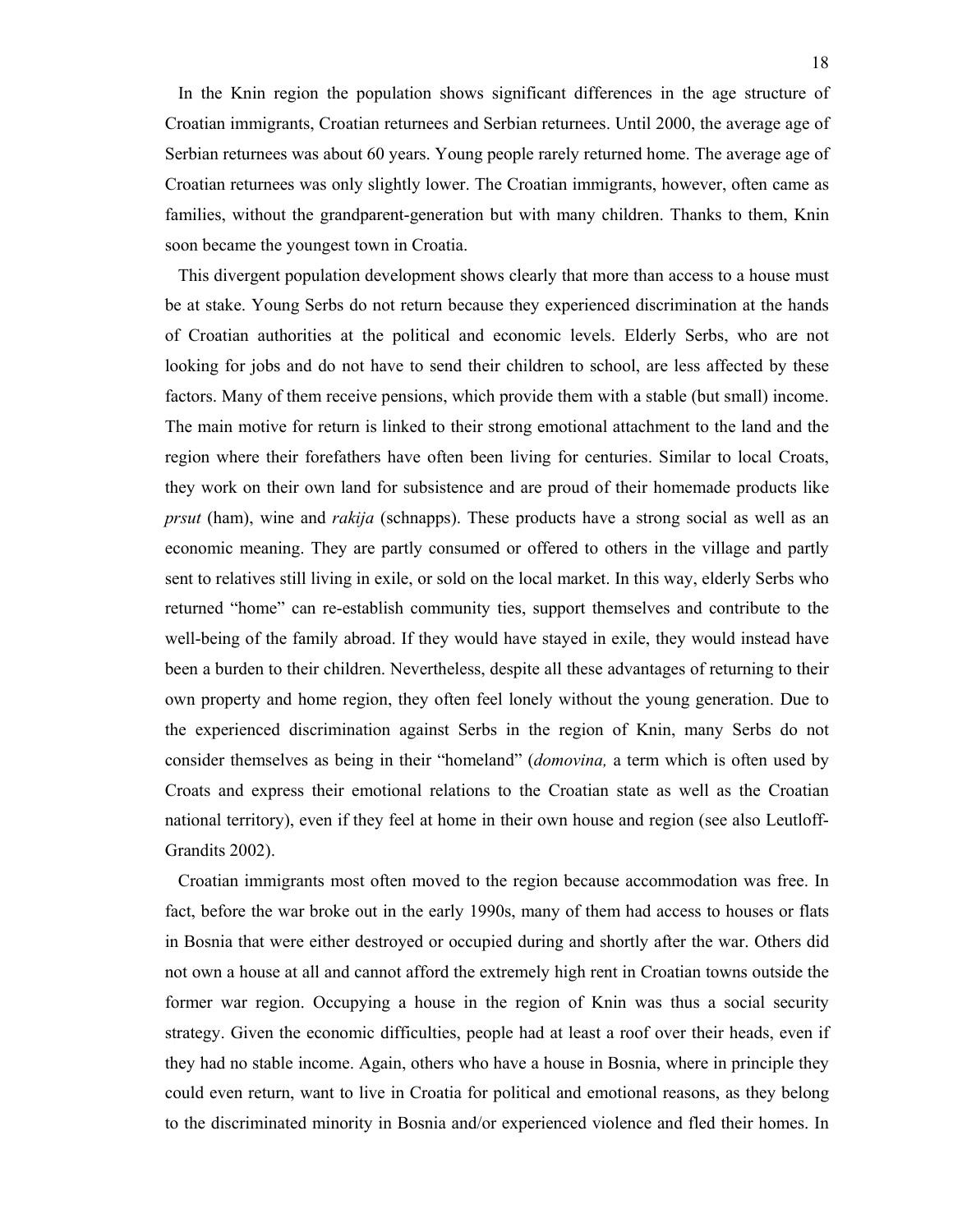In the Knin region the population shows significant differences in the age structure of Croatian immigrants, Croatian returnees and Serbian returnees. Until 2000, the average age of Serbian returnees was about 60 years. Young people rarely returned home. The average age of Croatian returnees was only slightly lower. The Croatian immigrants, however, often came as families, without the grandparent-generation but with many children. Thanks to them, Knin soon became the youngest town in Croatia.

 This divergent population development shows clearly that more than access to a house must be at stake. Young Serbs do not return because they experienced discrimination at the hands of Croatian authorities at the political and economic levels. Elderly Serbs, who are not looking for jobs and do not have to send their children to school, are less affected by these factors. Many of them receive pensions, which provide them with a stable (but small) income. The main motive for return is linked to their strong emotional attachment to the land and the region where their forefathers have often been living for centuries. Similar to local Croats, they work on their own land for subsistence and are proud of their homemade products like *prsut* (ham), wine and *rakija* (schnapps). These products have a strong social as well as an economic meaning. They are partly consumed or offered to others in the village and partly sent to relatives still living in exile, or sold on the local market. In this way, elderly Serbs who returned "home" can re-establish community ties, support themselves and contribute to the well-being of the family abroad. If they would have stayed in exile, they would instead have been a burden to their children. Nevertheless, despite all these advantages of returning to their own property and home region, they often feel lonely without the young generation. Due to the experienced discrimination against Serbs in the region of Knin, many Serbs do not consider themselves as being in their "homeland" (*domovina,* a term which is often used by Croats and express their emotional relations to the Croatian state as well as the Croatian national territory), even if they feel at home in their own house and region (see also Leutloff-Grandits 2002).

 Croatian immigrants most often moved to the region because accommodation was free. In fact, before the war broke out in the early 1990s, many of them had access to houses or flats in Bosnia that were either destroyed or occupied during and shortly after the war. Others did not own a house at all and cannot afford the extremely high rent in Croatian towns outside the former war region. Occupying a house in the region of Knin was thus a social security strategy. Given the economic difficulties, people had at least a roof over their heads, even if they had no stable income. Again, others who have a house in Bosnia, where in principle they could even return, want to live in Croatia for political and emotional reasons, as they belong to the discriminated minority in Bosnia and/or experienced violence and fled their homes. In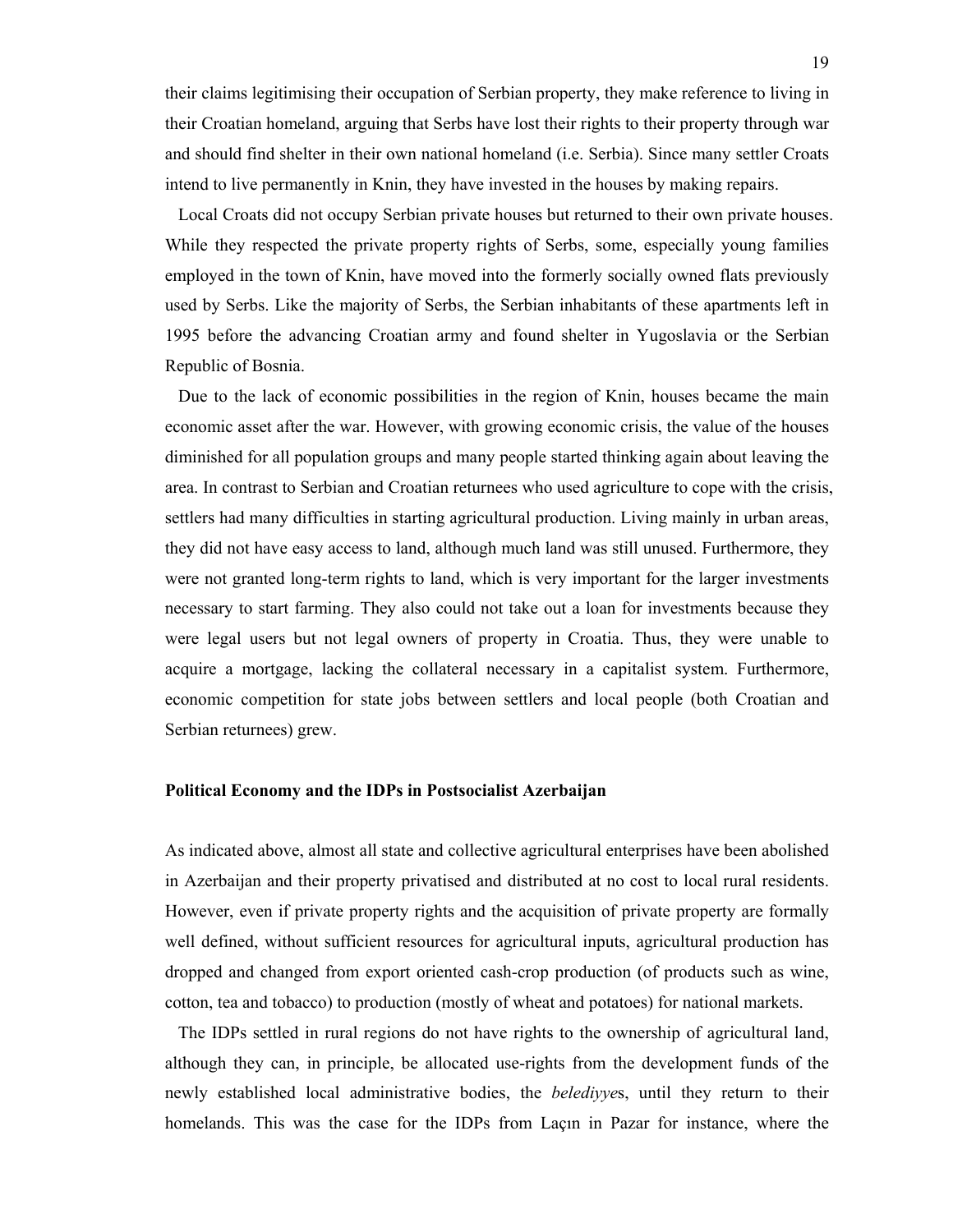their claims legitimising their occupation of Serbian property, they make reference to living in their Croatian homeland, arguing that Serbs have lost their rights to their property through war and should find shelter in their own national homeland (i.e. Serbia). Since many settler Croats intend to live permanently in Knin, they have invested in the houses by making repairs.

 Local Croats did not occupy Serbian private houses but returned to their own private houses. While they respected the private property rights of Serbs, some, especially young families employed in the town of Knin, have moved into the formerly socially owned flats previously used by Serbs. Like the majority of Serbs, the Serbian inhabitants of these apartments left in 1995 before the advancing Croatian army and found shelter in Yugoslavia or the Serbian Republic of Bosnia.

 Due to the lack of economic possibilities in the region of Knin, houses became the main economic asset after the war. However, with growing economic crisis, the value of the houses diminished for all population groups and many people started thinking again about leaving the area. In contrast to Serbian and Croatian returnees who used agriculture to cope with the crisis, settlers had many difficulties in starting agricultural production. Living mainly in urban areas, they did not have easy access to land, although much land was still unused. Furthermore, they were not granted long-term rights to land, which is very important for the larger investments necessary to start farming. They also could not take out a loan for investments because they were legal users but not legal owners of property in Croatia. Thus, they were unable to acquire a mortgage, lacking the collateral necessary in a capitalist system. Furthermore, economic competition for state jobs between settlers and local people (both Croatian and Serbian returnees) grew.

## **Political Economy and the IDPs in Postsocialist Azerbaijan**

As indicated above, almost all state and collective agricultural enterprises have been abolished in Azerbaijan and their property privatised and distributed at no cost to local rural residents. However, even if private property rights and the acquisition of private property are formally well defined, without sufficient resources for agricultural inputs, agricultural production has dropped and changed from export oriented cash-crop production (of products such as wine, cotton, tea and tobacco) to production (mostly of wheat and potatoes) for national markets.

 The IDPs settled in rural regions do not have rights to the ownership of agricultural land, although they can, in principle, be allocated use-rights from the development funds of the newly established local administrative bodies, the *belediyye*s, until they return to their homelands. This was the case for the IDPs from Laçın in Pazar for instance, where the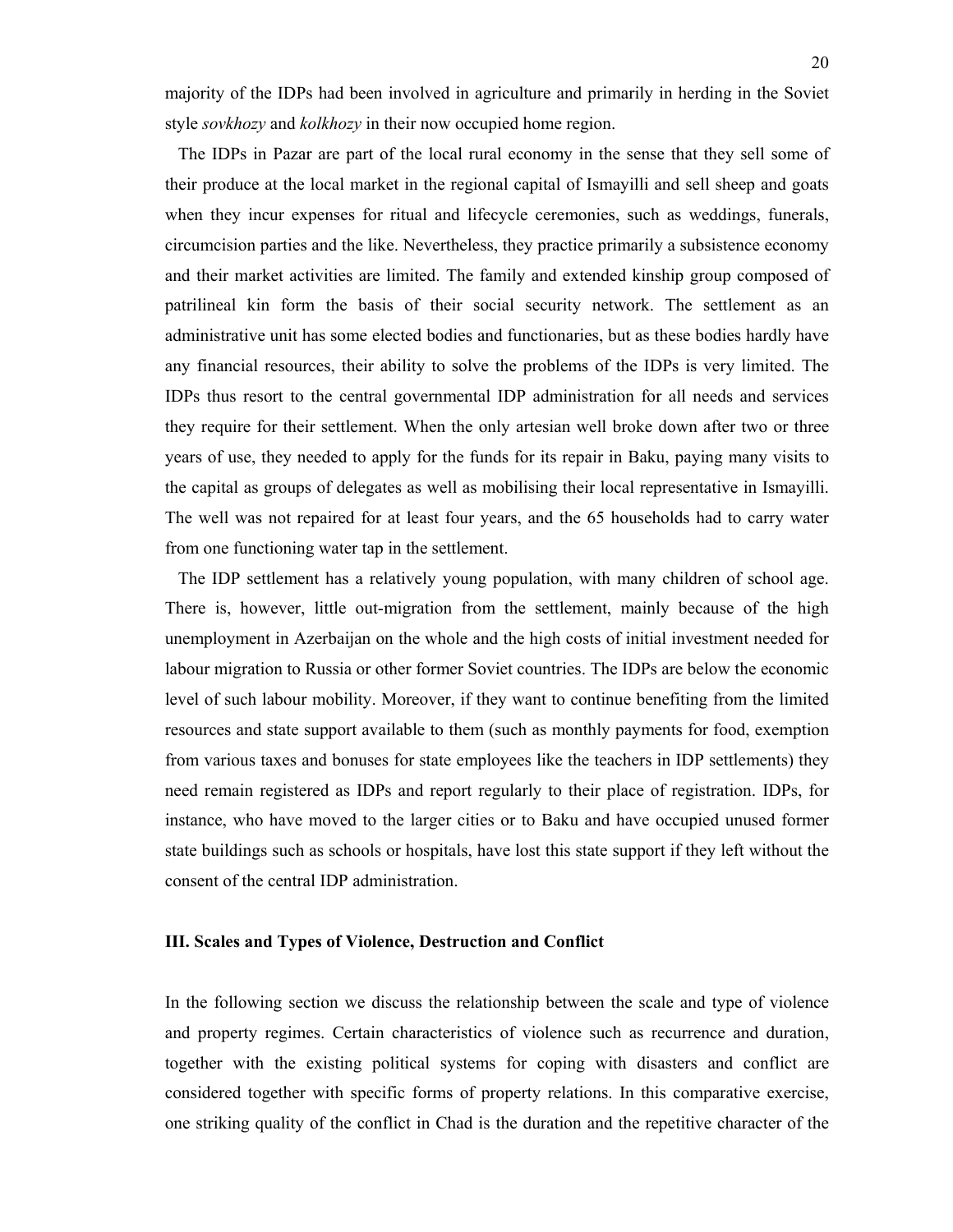majority of the IDPs had been involved in agriculture and primarily in herding in the Soviet style *sovkhozy* and *kolkhozy* in their now occupied home region.

 The IDPs in Pazar are part of the local rural economy in the sense that they sell some of their produce at the local market in the regional capital of Ismayilli and sell sheep and goats when they incur expenses for ritual and lifecycle ceremonies, such as weddings, funerals, circumcision parties and the like. Nevertheless, they practice primarily a subsistence economy and their market activities are limited. The family and extended kinship group composed of patrilineal kin form the basis of their social security network. The settlement as an administrative unit has some elected bodies and functionaries, but as these bodies hardly have any financial resources, their ability to solve the problems of the IDPs is very limited. The IDPs thus resort to the central governmental IDP administration for all needs and services they require for their settlement. When the only artesian well broke down after two or three years of use, they needed to apply for the funds for its repair in Baku, paying many visits to the capital as groups of delegates as well as mobilising their local representative in Ismayilli. The well was not repaired for at least four years, and the 65 households had to carry water from one functioning water tap in the settlement.

 The IDP settlement has a relatively young population, with many children of school age. There is, however, little out-migration from the settlement, mainly because of the high unemployment in Azerbaijan on the whole and the high costs of initial investment needed for labour migration to Russia or other former Soviet countries. The IDPs are below the economic level of such labour mobility. Moreover, if they want to continue benefiting from the limited resources and state support available to them (such as monthly payments for food, exemption from various taxes and bonuses for state employees like the teachers in IDP settlements) they need remain registered as IDPs and report regularly to their place of registration. IDPs, for instance, who have moved to the larger cities or to Baku and have occupied unused former state buildings such as schools or hospitals, have lost this state support if they left without the consent of the central IDP administration.

## **III. Scales and Types of Violence, Destruction and Conflict**

In the following section we discuss the relationship between the scale and type of violence and property regimes. Certain characteristics of violence such as recurrence and duration, together with the existing political systems for coping with disasters and conflict are considered together with specific forms of property relations. In this comparative exercise, one striking quality of the conflict in Chad is the duration and the repetitive character of the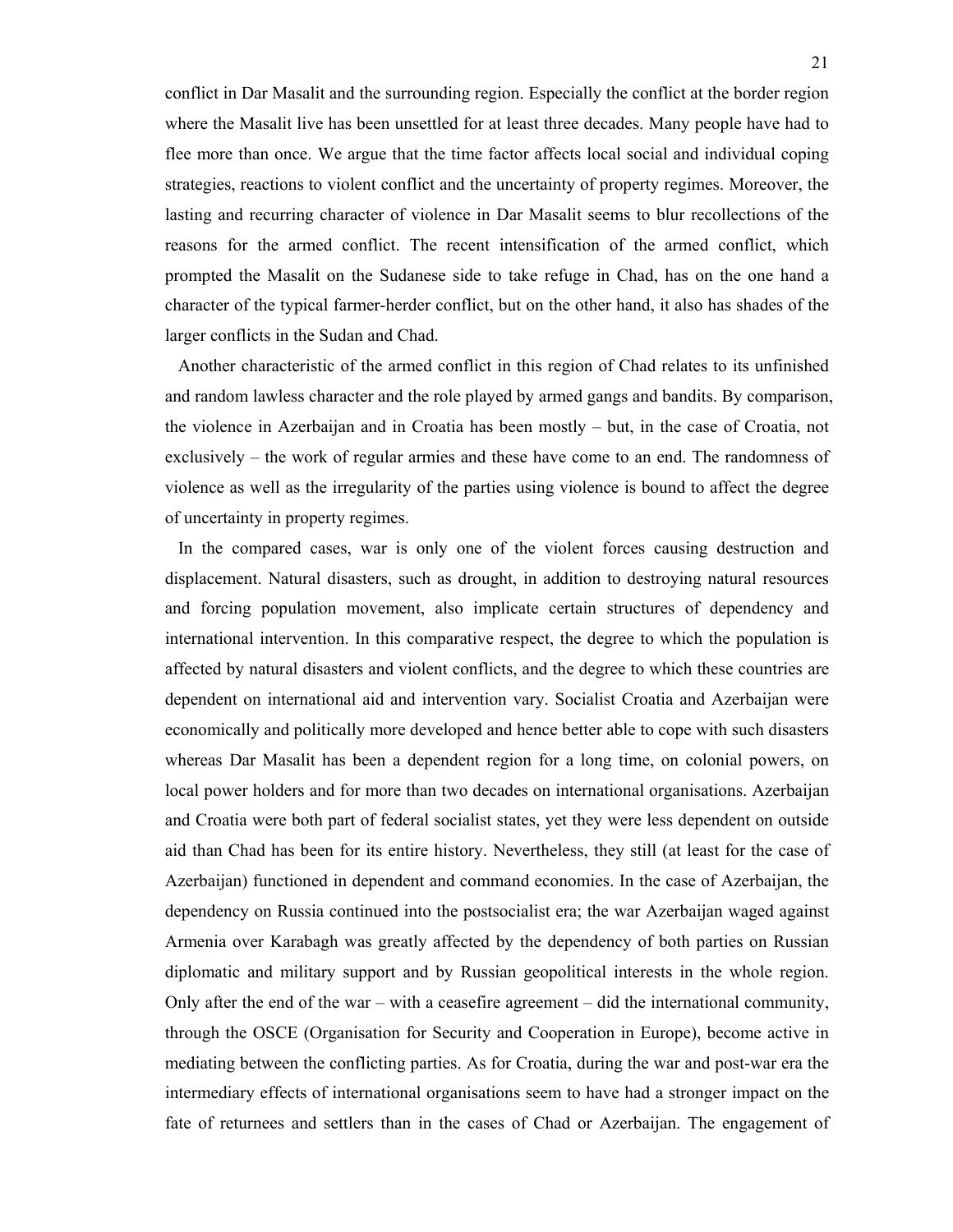conflict in Dar Masalit and the surrounding region. Especially the conflict at the border region where the Masalit live has been unsettled for at least three decades. Many people have had to flee more than once. We argue that the time factor affects local social and individual coping strategies, reactions to violent conflict and the uncertainty of property regimes. Moreover, the lasting and recurring character of violence in Dar Masalit seems to blur recollections of the reasons for the armed conflict. The recent intensification of the armed conflict, which prompted the Masalit on the Sudanese side to take refuge in Chad, has on the one hand a character of the typical farmer-herder conflict, but on the other hand, it also has shades of the larger conflicts in the Sudan and Chad.

 Another characteristic of the armed conflict in this region of Chad relates to its unfinished and random lawless character and the role played by armed gangs and bandits. By comparison, the violence in Azerbaijan and in Croatia has been mostly – but, in the case of Croatia, not exclusively – the work of regular armies and these have come to an end. The randomness of violence as well as the irregularity of the parties using violence is bound to affect the degree of uncertainty in property regimes.

 In the compared cases, war is only one of the violent forces causing destruction and displacement. Natural disasters, such as drought, in addition to destroying natural resources and forcing population movement, also implicate certain structures of dependency and international intervention. In this comparative respect, the degree to which the population is affected by natural disasters and violent conflicts, and the degree to which these countries are dependent on international aid and intervention vary. Socialist Croatia and Azerbaijan were economically and politically more developed and hence better able to cope with such disasters whereas Dar Masalit has been a dependent region for a long time, on colonial powers, on local power holders and for more than two decades on international organisations. Azerbaijan and Croatia were both part of federal socialist states, yet they were less dependent on outside aid than Chad has been for its entire history. Nevertheless, they still (at least for the case of Azerbaijan) functioned in dependent and command economies. In the case of Azerbaijan, the dependency on Russia continued into the postsocialist era; the war Azerbaijan waged against Armenia over Karabagh was greatly affected by the dependency of both parties on Russian diplomatic and military support and by Russian geopolitical interests in the whole region. Only after the end of the war – with a ceasefire agreement – did the international community, through the OSCE (Organisation for Security and Cooperation in Europe), become active in mediating between the conflicting parties. As for Croatia, during the war and post-war era the intermediary effects of international organisations seem to have had a stronger impact on the fate of returnees and settlers than in the cases of Chad or Azerbaijan. The engagement of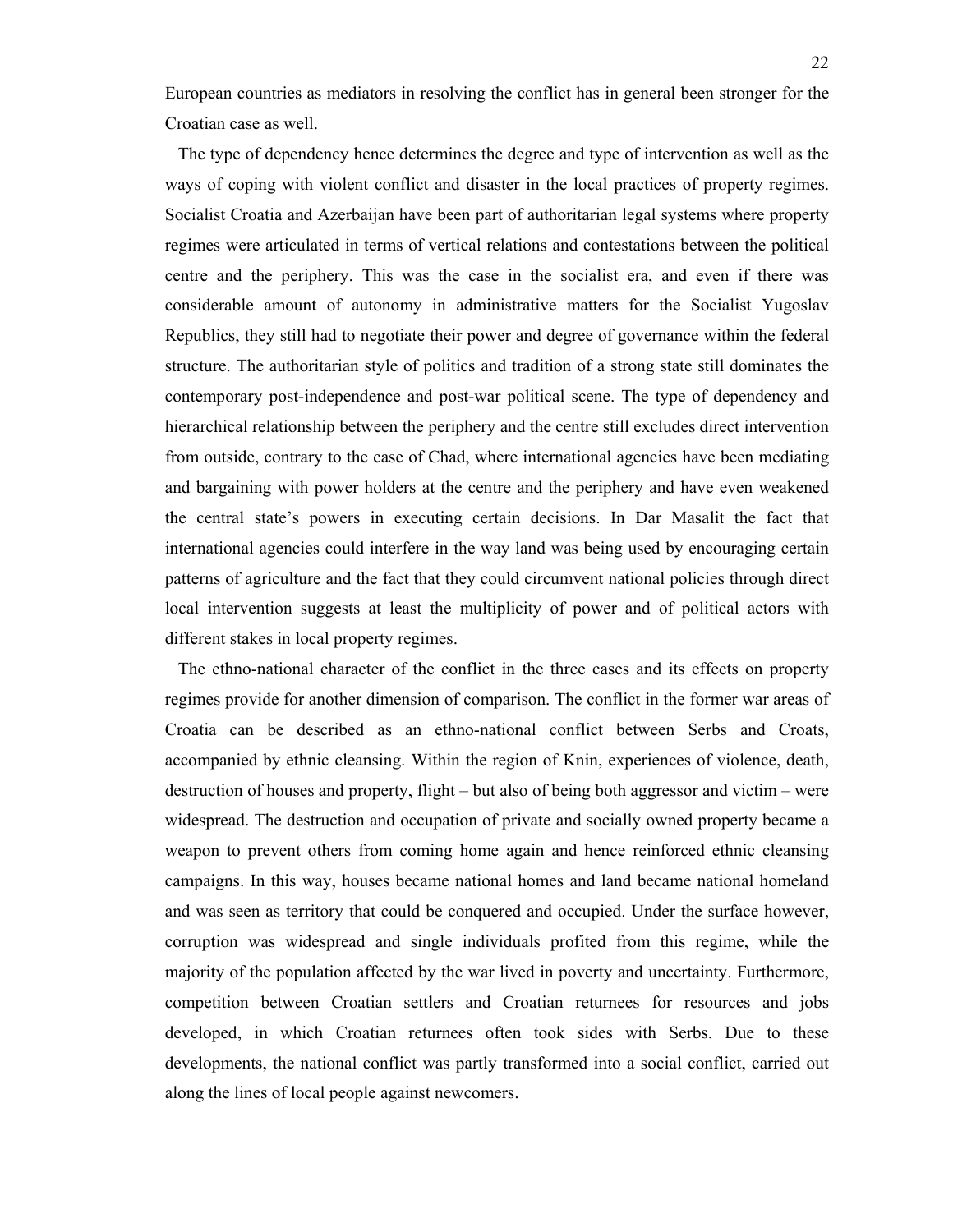European countries as mediators in resolving the conflict has in general been stronger for the Croatian case as well.

 The type of dependency hence determines the degree and type of intervention as well as the ways of coping with violent conflict and disaster in the local practices of property regimes. Socialist Croatia and Azerbaijan have been part of authoritarian legal systems where property regimes were articulated in terms of vertical relations and contestations between the political centre and the periphery. This was the case in the socialist era, and even if there was considerable amount of autonomy in administrative matters for the Socialist Yugoslav Republics, they still had to negotiate their power and degree of governance within the federal structure. The authoritarian style of politics and tradition of a strong state still dominates the contemporary post-independence and post-war political scene. The type of dependency and hierarchical relationship between the periphery and the centre still excludes direct intervention from outside, contrary to the case of Chad, where international agencies have been mediating and bargaining with power holders at the centre and the periphery and have even weakened the central state's powers in executing certain decisions. In Dar Masalit the fact that international agencies could interfere in the way land was being used by encouraging certain patterns of agriculture and the fact that they could circumvent national policies through direct local intervention suggests at least the multiplicity of power and of political actors with different stakes in local property regimes.

 The ethno-national character of the conflict in the three cases and its effects on property regimes provide for another dimension of comparison. The conflict in the former war areas of Croatia can be described as an ethno-national conflict between Serbs and Croats, accompanied by ethnic cleansing. Within the region of Knin, experiences of violence, death, destruction of houses and property, flight – but also of being both aggressor and victim – were widespread. The destruction and occupation of private and socially owned property became a weapon to prevent others from coming home again and hence reinforced ethnic cleansing campaigns. In this way, houses became national homes and land became national homeland and was seen as territory that could be conquered and occupied. Under the surface however, corruption was widespread and single individuals profited from this regime, while the majority of the population affected by the war lived in poverty and uncertainty. Furthermore, competition between Croatian settlers and Croatian returnees for resources and jobs developed, in which Croatian returnees often took sides with Serbs. Due to these developments, the national conflict was partly transformed into a social conflict, carried out along the lines of local people against newcomers.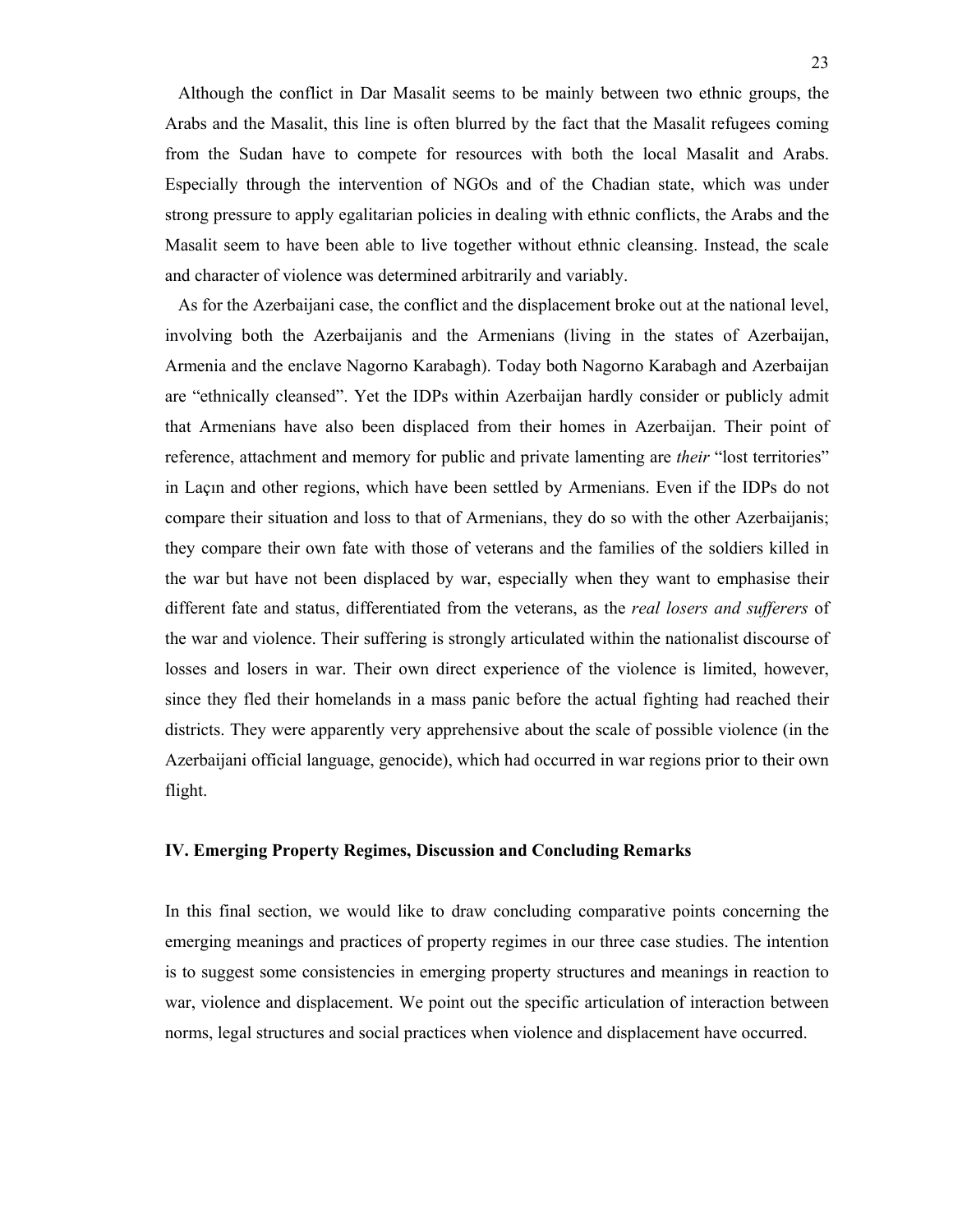Although the conflict in Dar Masalit seems to be mainly between two ethnic groups, the Arabs and the Masalit, this line is often blurred by the fact that the Masalit refugees coming from the Sudan have to compete for resources with both the local Masalit and Arabs. Especially through the intervention of NGOs and of the Chadian state, which was under strong pressure to apply egalitarian policies in dealing with ethnic conflicts, the Arabs and the Masalit seem to have been able to live together without ethnic cleansing. Instead, the scale and character of violence was determined arbitrarily and variably.

 As for the Azerbaijani case, the conflict and the displacement broke out at the national level, involving both the Azerbaijanis and the Armenians (living in the states of Azerbaijan, Armenia and the enclave Nagorno Karabagh). Today both Nagorno Karabagh and Azerbaijan are "ethnically cleansed". Yet the IDPs within Azerbaijan hardly consider or publicly admit that Armenians have also been displaced from their homes in Azerbaijan. Their point of reference, attachment and memory for public and private lamenting are *their* "lost territories" in Laçın and other regions, which have been settled by Armenians. Even if the IDPs do not compare their situation and loss to that of Armenians, they do so with the other Azerbaijanis; they compare their own fate with those of veterans and the families of the soldiers killed in the war but have not been displaced by war, especially when they want to emphasise their different fate and status, differentiated from the veterans, as the *real losers and sufferers* of the war and violence. Their suffering is strongly articulated within the nationalist discourse of losses and losers in war. Their own direct experience of the violence is limited, however, since they fled their homelands in a mass panic before the actual fighting had reached their districts. They were apparently very apprehensive about the scale of possible violence (in the Azerbaijani official language, genocide), which had occurred in war regions prior to their own flight.

## **IV. Emerging Property Regimes, Discussion and Concluding Remarks**

In this final section, we would like to draw concluding comparative points concerning the emerging meanings and practices of property regimes in our three case studies. The intention is to suggest some consistencies in emerging property structures and meanings in reaction to war, violence and displacement. We point out the specific articulation of interaction between norms, legal structures and social practices when violence and displacement have occurred.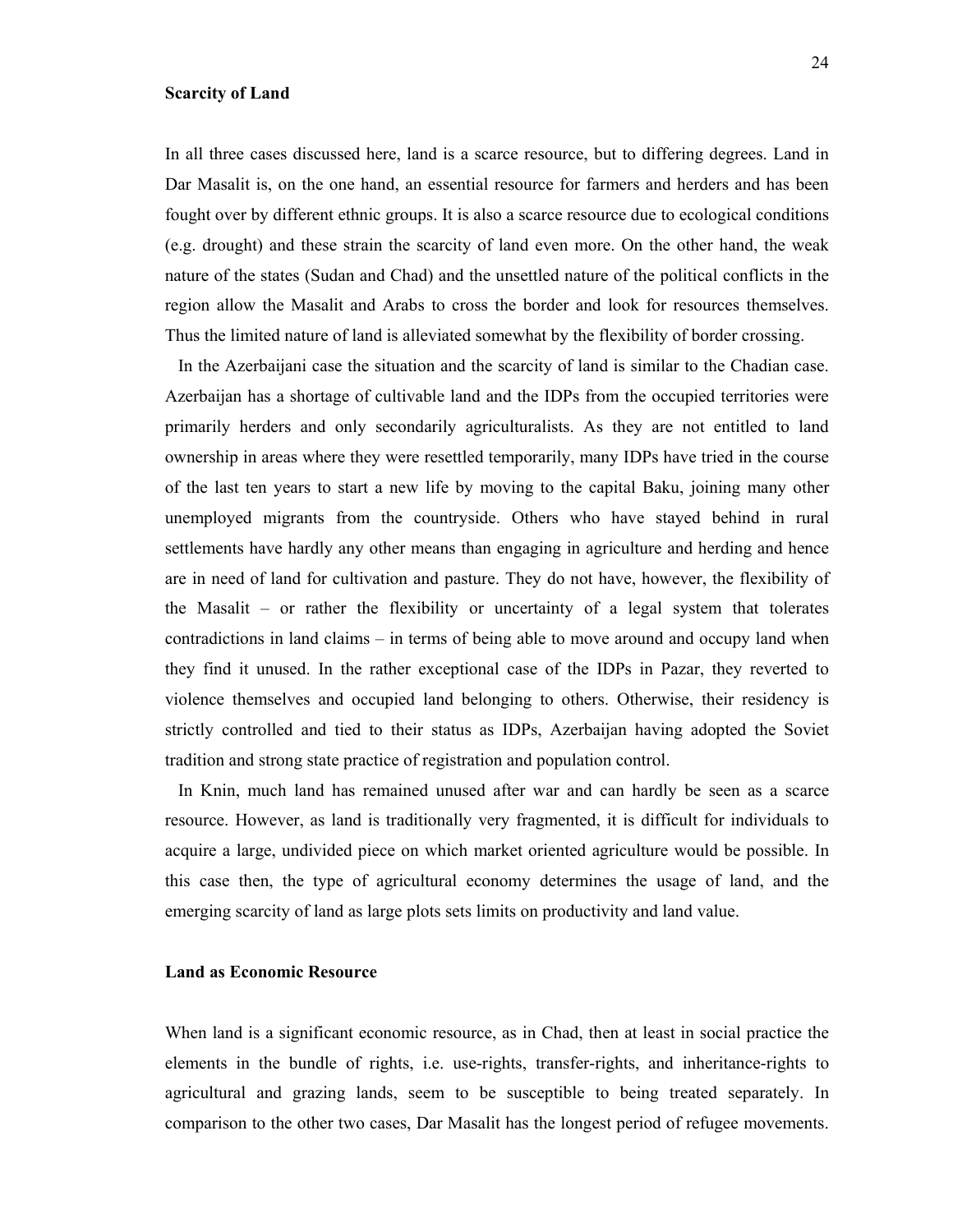#### **Scarcity of Land**

In all three cases discussed here, land is a scarce resource, but to differing degrees. Land in Dar Masalit is, on the one hand, an essential resource for farmers and herders and has been fought over by different ethnic groups. It is also a scarce resource due to ecological conditions (e.g. drought) and these strain the scarcity of land even more. On the other hand, the weak nature of the states (Sudan and Chad) and the unsettled nature of the political conflicts in the region allow the Masalit and Arabs to cross the border and look for resources themselves. Thus the limited nature of land is alleviated somewhat by the flexibility of border crossing.

 In the Azerbaijani case the situation and the scarcity of land is similar to the Chadian case. Azerbaijan has a shortage of cultivable land and the IDPs from the occupied territories were primarily herders and only secondarily agriculturalists. As they are not entitled to land ownership in areas where they were resettled temporarily, many IDPs have tried in the course of the last ten years to start a new life by moving to the capital Baku, joining many other unemployed migrants from the countryside. Others who have stayed behind in rural settlements have hardly any other means than engaging in agriculture and herding and hence are in need of land for cultivation and pasture. They do not have, however, the flexibility of the Masalit – or rather the flexibility or uncertainty of a legal system that tolerates contradictions in land claims – in terms of being able to move around and occupy land when they find it unused. In the rather exceptional case of the IDPs in Pazar, they reverted to violence themselves and occupied land belonging to others. Otherwise, their residency is strictly controlled and tied to their status as IDPs, Azerbaijan having adopted the Soviet tradition and strong state practice of registration and population control.

 In Knin, much land has remained unused after war and can hardly be seen as a scarce resource. However, as land is traditionally very fragmented, it is difficult for individuals to acquire a large, undivided piece on which market oriented agriculture would be possible. In this case then, the type of agricultural economy determines the usage of land, and the emerging scarcity of land as large plots sets limits on productivity and land value.

## **Land as Economic Resource**

When land is a significant economic resource, as in Chad, then at least in social practice the elements in the bundle of rights, i.e. use-rights, transfer-rights, and inheritance-rights to agricultural and grazing lands, seem to be susceptible to being treated separately. In comparison to the other two cases, Dar Masalit has the longest period of refugee movements.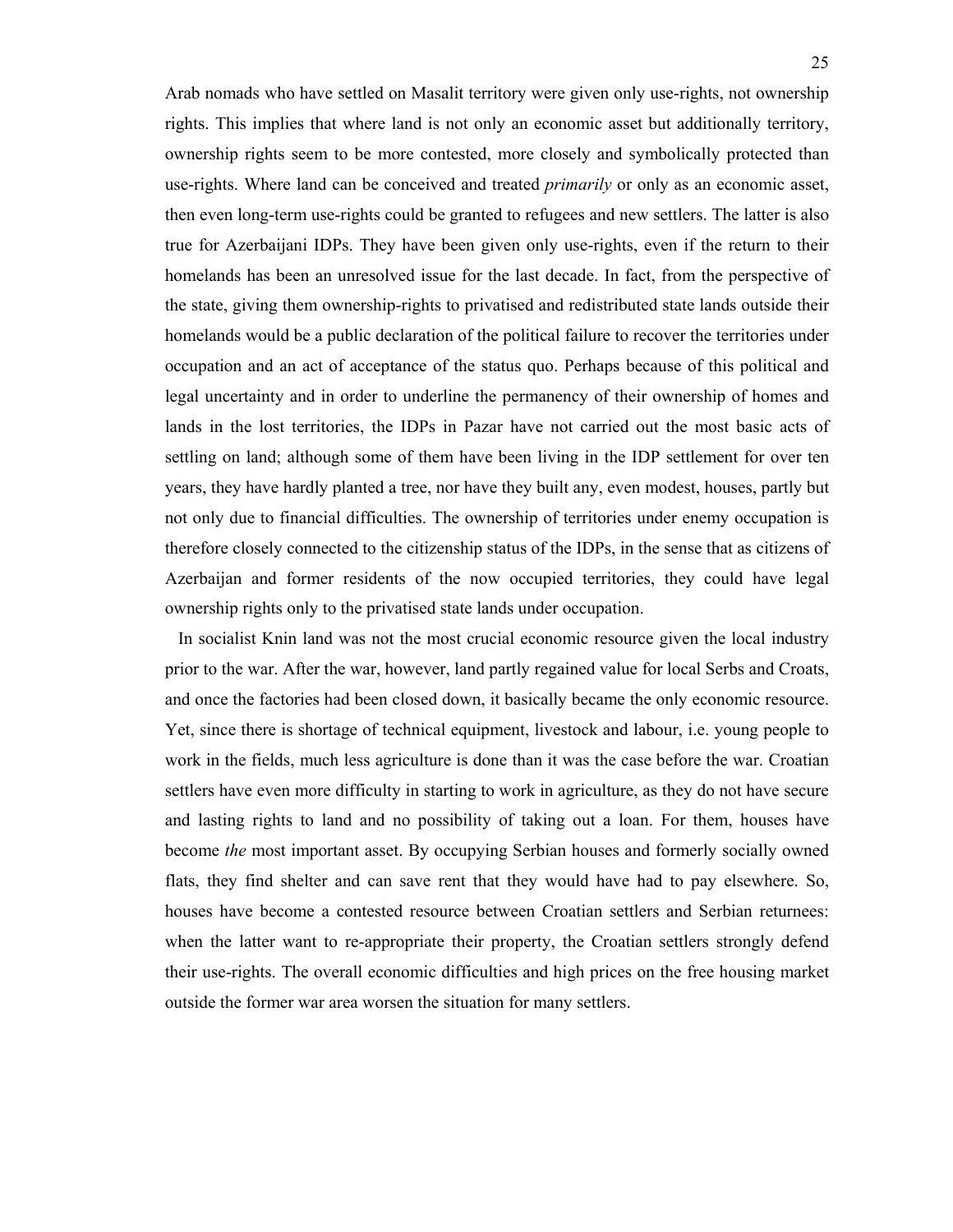Arab nomads who have settled on Masalit territory were given only use-rights, not ownership rights. This implies that where land is not only an economic asset but additionally territory, ownership rights seem to be more contested, more closely and symbolically protected than use-rights. Where land can be conceived and treated *primarily* or only as an economic asset, then even long-term use-rights could be granted to refugees and new settlers. The latter is also true for Azerbaijani IDPs. They have been given only use-rights, even if the return to their homelands has been an unresolved issue for the last decade. In fact, from the perspective of the state, giving them ownership-rights to privatised and redistributed state lands outside their homelands would be a public declaration of the political failure to recover the territories under occupation and an act of acceptance of the status quo. Perhaps because of this political and legal uncertainty and in order to underline the permanency of their ownership of homes and lands in the lost territories, the IDPs in Pazar have not carried out the most basic acts of settling on land; although some of them have been living in the IDP settlement for over ten years, they have hardly planted a tree, nor have they built any, even modest, houses, partly but not only due to financial difficulties. The ownership of territories under enemy occupation is therefore closely connected to the citizenship status of the IDPs, in the sense that as citizens of Azerbaijan and former residents of the now occupied territories, they could have legal ownership rights only to the privatised state lands under occupation.

 In socialist Knin land was not the most crucial economic resource given the local industry prior to the war. After the war, however, land partly regained value for local Serbs and Croats, and once the factories had been closed down, it basically became the only economic resource. Yet, since there is shortage of technical equipment, livestock and labour, i.e. young people to work in the fields, much less agriculture is done than it was the case before the war. Croatian settlers have even more difficulty in starting to work in agriculture, as they do not have secure and lasting rights to land and no possibility of taking out a loan. For them, houses have become *the* most important asset. By occupying Serbian houses and formerly socially owned flats, they find shelter and can save rent that they would have had to pay elsewhere. So, houses have become a contested resource between Croatian settlers and Serbian returnees: when the latter want to re-appropriate their property, the Croatian settlers strongly defend their use-rights. The overall economic difficulties and high prices on the free housing market outside the former war area worsen the situation for many settlers.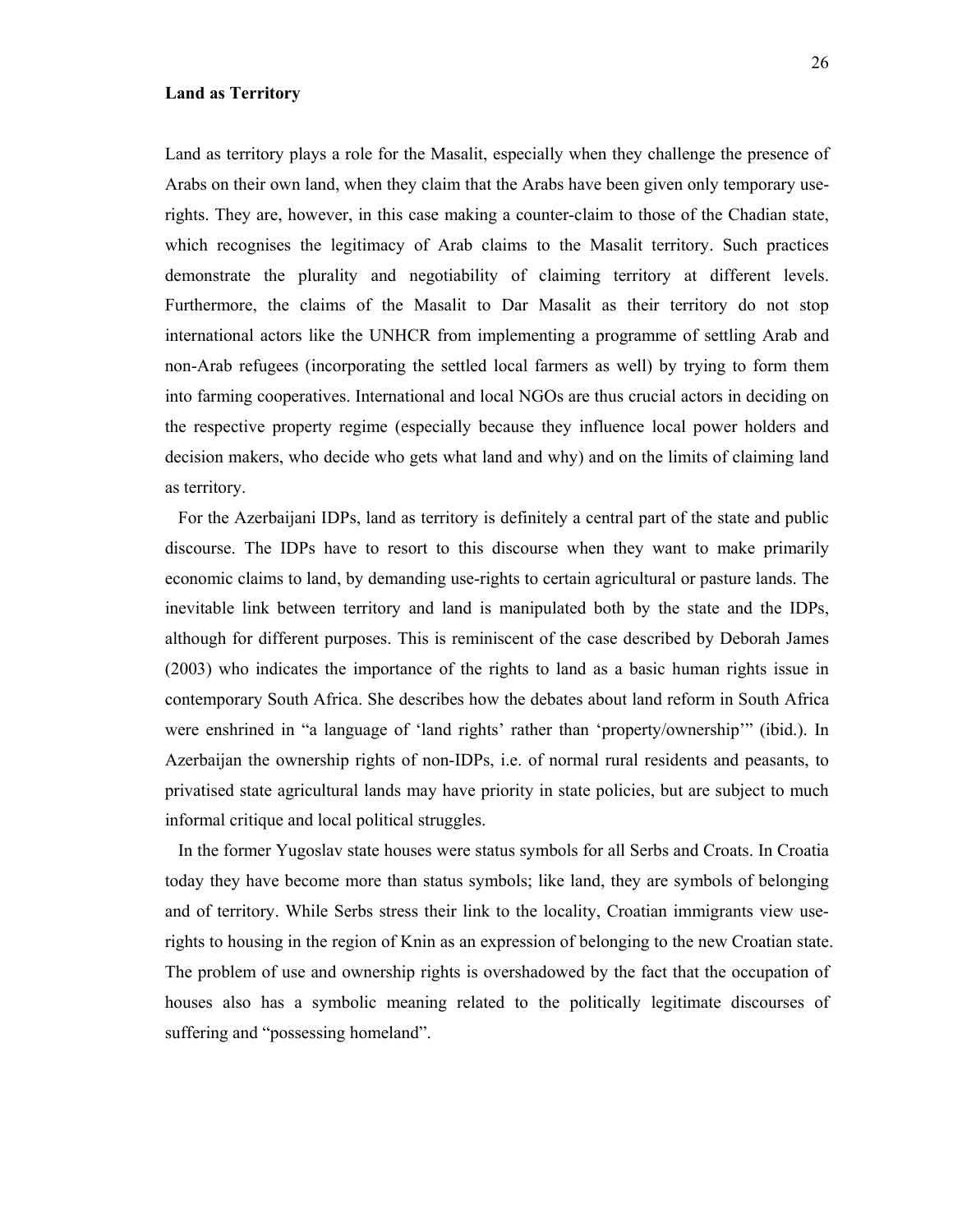## **Land as Territory**

Land as territory plays a role for the Masalit, especially when they challenge the presence of Arabs on their own land, when they claim that the Arabs have been given only temporary userights. They are, however, in this case making a counter-claim to those of the Chadian state, which recognises the legitimacy of Arab claims to the Masalit territory. Such practices demonstrate the plurality and negotiability of claiming territory at different levels. Furthermore, the claims of the Masalit to Dar Masalit as their territory do not stop international actors like the UNHCR from implementing a programme of settling Arab and non-Arab refugees (incorporating the settled local farmers as well) by trying to form them into farming cooperatives. International and local NGOs are thus crucial actors in deciding on the respective property regime (especially because they influence local power holders and decision makers, who decide who gets what land and why) and on the limits of claiming land as territory.

 For the Azerbaijani IDPs, land as territory is definitely a central part of the state and public discourse. The IDPs have to resort to this discourse when they want to make primarily economic claims to land, by demanding use-rights to certain agricultural or pasture lands. The inevitable link between territory and land is manipulated both by the state and the IDPs, although for different purposes. This is reminiscent of the case described by Deborah James (2003) who indicates the importance of the rights to land as a basic human rights issue in contemporary South Africa. She describes how the debates about land reform in South Africa were enshrined in "a language of 'land rights' rather than 'property/ownership'" (ibid.). In Azerbaijan the ownership rights of non-IDPs, i.e. of normal rural residents and peasants, to privatised state agricultural lands may have priority in state policies, but are subject to much informal critique and local political struggles.

 In the former Yugoslav state houses were status symbols for all Serbs and Croats. In Croatia today they have become more than status symbols; like land, they are symbols of belonging and of territory. While Serbs stress their link to the locality, Croatian immigrants view userights to housing in the region of Knin as an expression of belonging to the new Croatian state. The problem of use and ownership rights is overshadowed by the fact that the occupation of houses also has a symbolic meaning related to the politically legitimate discourses of suffering and "possessing homeland".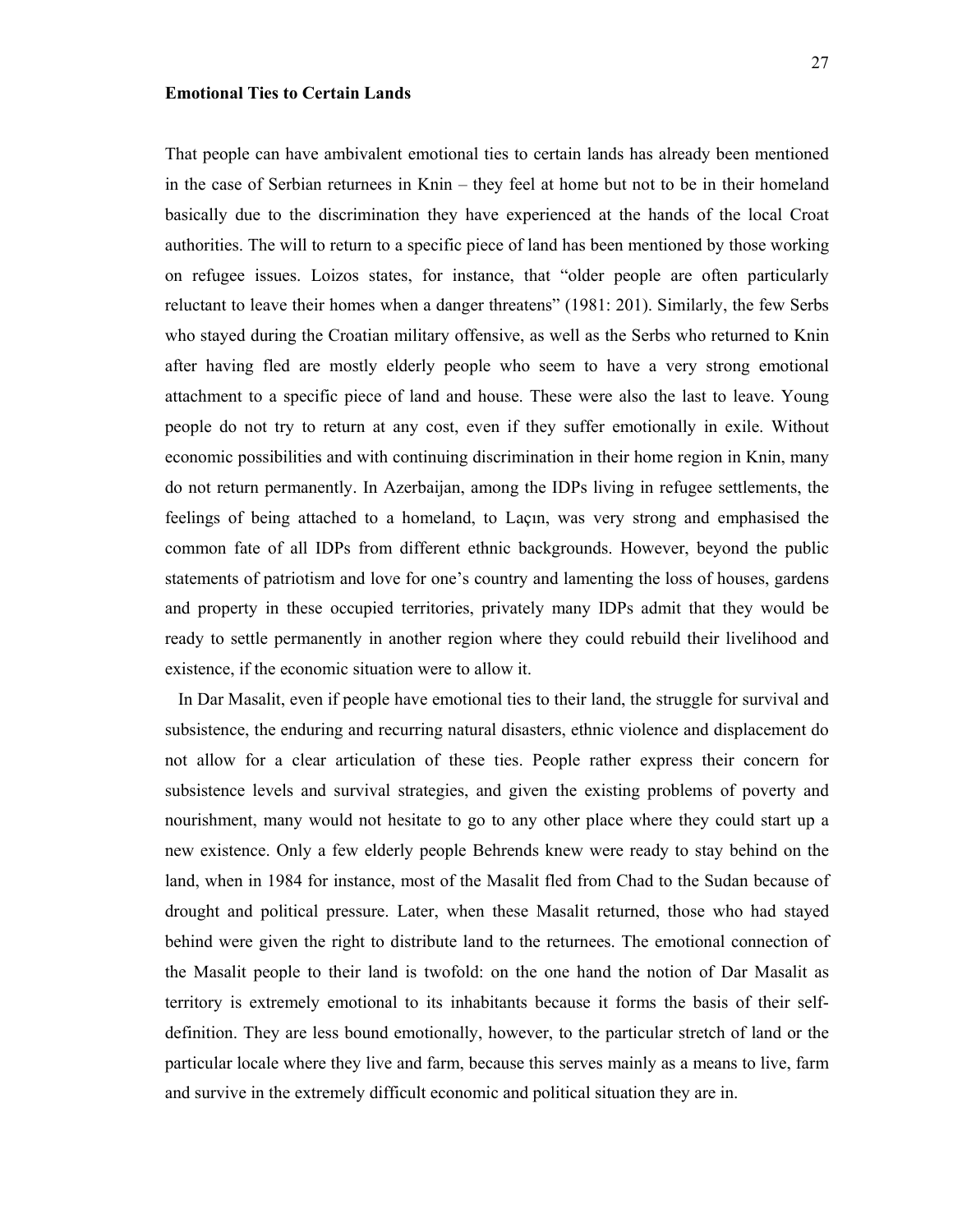## **Emotional Ties to Certain Lands**

That people can have ambivalent emotional ties to certain lands has already been mentioned in the case of Serbian returnees in Knin – they feel at home but not to be in their homeland basically due to the discrimination they have experienced at the hands of the local Croat authorities. The will to return to a specific piece of land has been mentioned by those working on refugee issues. Loizos states, for instance, that "older people are often particularly reluctant to leave their homes when a danger threatens" (1981: 201). Similarly, the few Serbs who stayed during the Croatian military offensive, as well as the Serbs who returned to Knin after having fled are mostly elderly people who seem to have a very strong emotional attachment to a specific piece of land and house. These were also the last to leave. Young people do not try to return at any cost, even if they suffer emotionally in exile. Without economic possibilities and with continuing discrimination in their home region in Knin, many do not return permanently. In Azerbaijan, among the IDPs living in refugee settlements, the feelings of being attached to a homeland, to Laçın, was very strong and emphasised the common fate of all IDPs from different ethnic backgrounds. However, beyond the public statements of patriotism and love for one's country and lamenting the loss of houses, gardens and property in these occupied territories, privately many IDPs admit that they would be ready to settle permanently in another region where they could rebuild their livelihood and existence, if the economic situation were to allow it.

 In Dar Masalit, even if people have emotional ties to their land, the struggle for survival and subsistence, the enduring and recurring natural disasters, ethnic violence and displacement do not allow for a clear articulation of these ties. People rather express their concern for subsistence levels and survival strategies, and given the existing problems of poverty and nourishment, many would not hesitate to go to any other place where they could start up a new existence. Only a few elderly people Behrends knew were ready to stay behind on the land, when in 1984 for instance, most of the Masalit fled from Chad to the Sudan because of drought and political pressure. Later, when these Masalit returned, those who had stayed behind were given the right to distribute land to the returnees. The emotional connection of the Masalit people to their land is twofold: on the one hand the notion of Dar Masalit as territory is extremely emotional to its inhabitants because it forms the basis of their selfdefinition. They are less bound emotionally, however, to the particular stretch of land or the particular locale where they live and farm, because this serves mainly as a means to live, farm and survive in the extremely difficult economic and political situation they are in.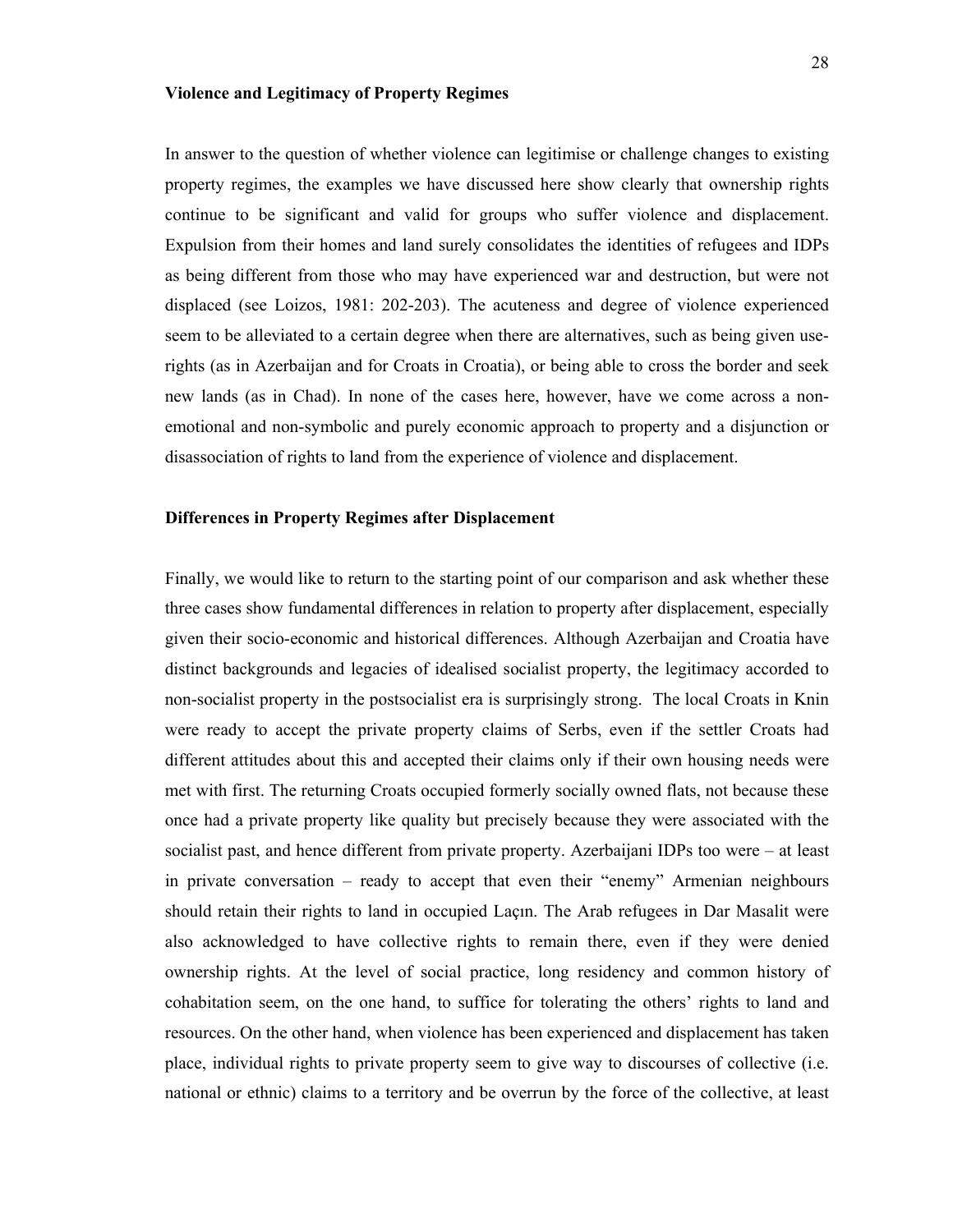## **Violence and Legitimacy of Property Regimes**

In answer to the question of whether violence can legitimise or challenge changes to existing property regimes, the examples we have discussed here show clearly that ownership rights continue to be significant and valid for groups who suffer violence and displacement. Expulsion from their homes and land surely consolidates the identities of refugees and IDPs as being different from those who may have experienced war and destruction, but were not displaced (see Loizos, 1981: 202-203). The acuteness and degree of violence experienced seem to be alleviated to a certain degree when there are alternatives, such as being given userights (as in Azerbaijan and for Croats in Croatia), or being able to cross the border and seek new lands (as in Chad). In none of the cases here, however, have we come across a nonemotional and non-symbolic and purely economic approach to property and a disjunction or disassociation of rights to land from the experience of violence and displacement.

## **Differences in Property Regimes after Displacement**

Finally, we would like to return to the starting point of our comparison and ask whether these three cases show fundamental differences in relation to property after displacement, especially given their socio-economic and historical differences. Although Azerbaijan and Croatia have distinct backgrounds and legacies of idealised socialist property, the legitimacy accorded to non-socialist property in the postsocialist era is surprisingly strong. The local Croats in Knin were ready to accept the private property claims of Serbs, even if the settler Croats had different attitudes about this and accepted their claims only if their own housing needs were met with first. The returning Croats occupied formerly socially owned flats, not because these once had a private property like quality but precisely because they were associated with the socialist past, and hence different from private property. Azerbaijani IDPs too were – at least in private conversation – ready to accept that even their "enemy" Armenian neighbours should retain their rights to land in occupied Laçın. The Arab refugees in Dar Masalit were also acknowledged to have collective rights to remain there, even if they were denied ownership rights. At the level of social practice, long residency and common history of cohabitation seem, on the one hand, to suffice for tolerating the others' rights to land and resources. On the other hand, when violence has been experienced and displacement has taken place, individual rights to private property seem to give way to discourses of collective (i.e. national or ethnic) claims to a territory and be overrun by the force of the collective, at least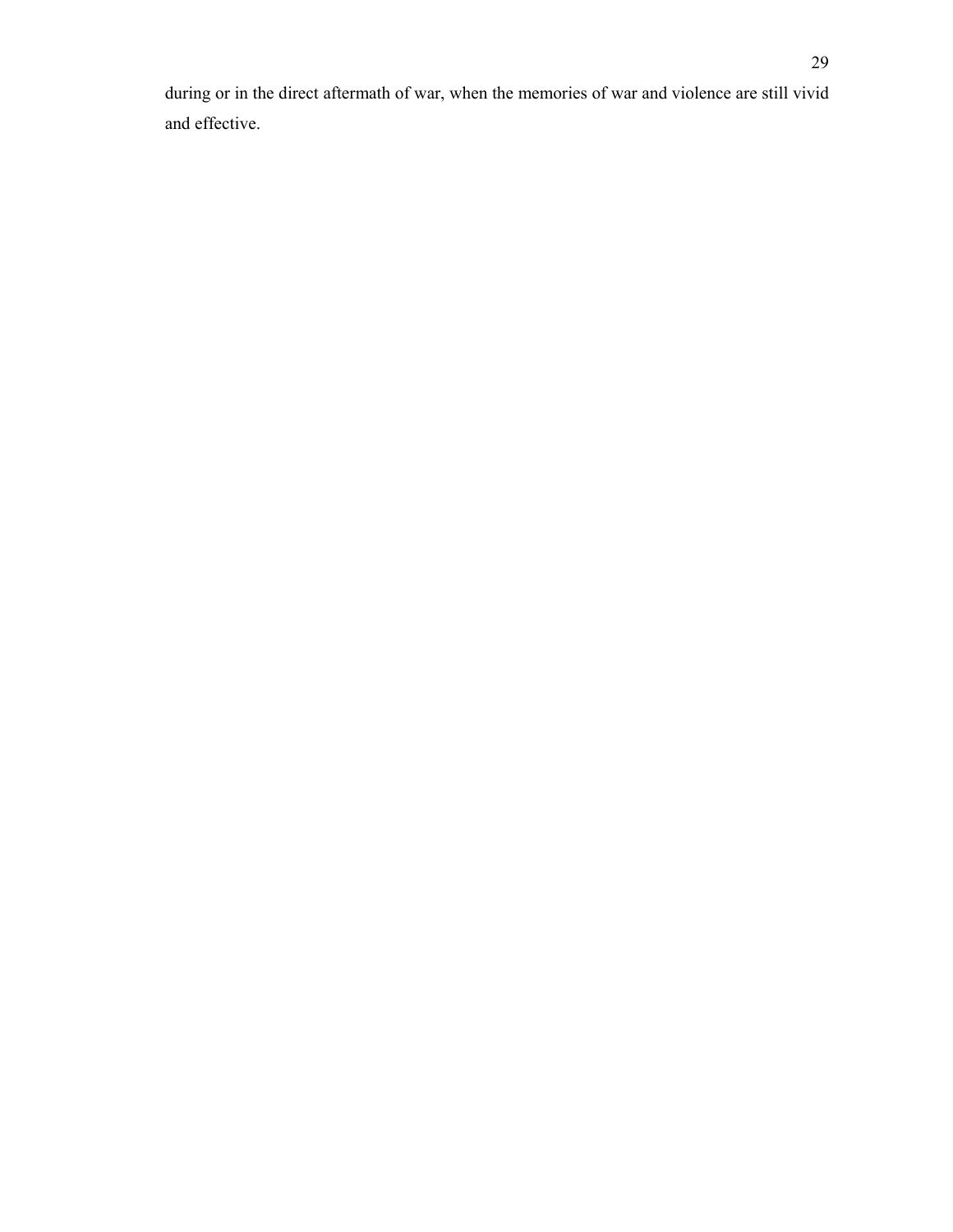during or in the direct aftermath of war, when the memories of war and violence are still vivid and effective.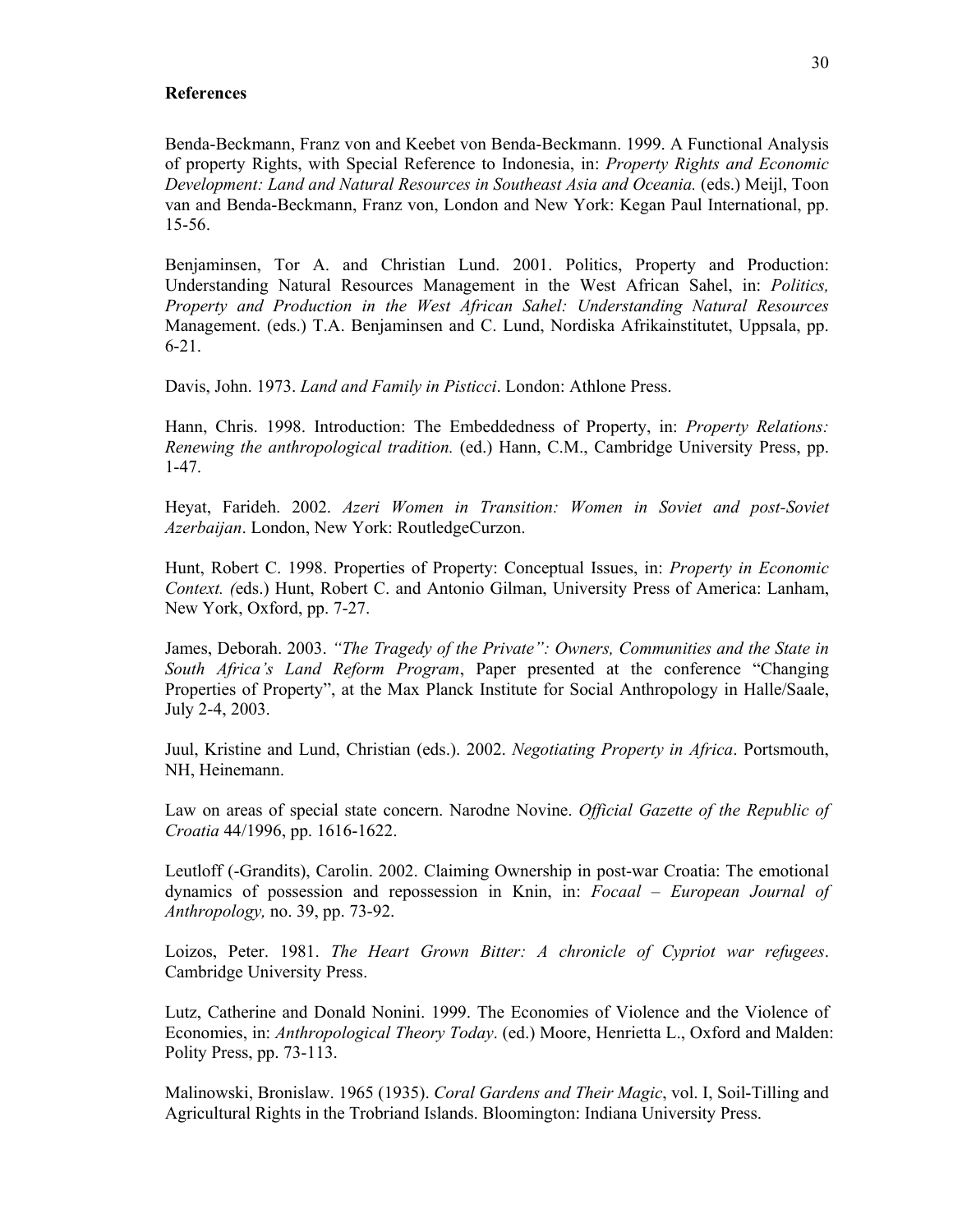## **References**

Benda-Beckmann, Franz von and Keebet von Benda-Beckmann. 1999. A Functional Analysis of property Rights, with Special Reference to Indonesia, in: *Property Rights and Economic Development: Land and Natural Resources in Southeast Asia and Oceania.* (eds.) Meijl, Toon van and Benda-Beckmann, Franz von, London and New York: Kegan Paul International, pp. 15-56.

Benjaminsen, Tor A. and Christian Lund. 2001. Politics, Property and Production: Understanding Natural Resources Management in the West African Sahel, in: *Politics, Property and Production in the West African Sahel: Understanding Natural Resources* Management. (eds.) T.A. Benjaminsen and C. Lund, Nordiska Afrikainstitutet, Uppsala, pp. 6-21.

Davis, John. 1973. *Land and Family in Pisticci*. London: Athlone Press.

Hann, Chris. 1998. Introduction: The Embeddedness of Property, in: *Property Relations: Renewing the anthropological tradition.* (ed.) Hann, C.M., Cambridge University Press, pp. 1-47.

Heyat, Farideh. 2002. *Azeri Women in Transition: Women in Soviet and post-Soviet Azerbaijan*. London, New York: RoutledgeCurzon.

Hunt, Robert C. 1998. Properties of Property: Conceptual Issues, in: *Property in Economic Context. (*eds.) Hunt, Robert C. and Antonio Gilman, University Press of America: Lanham, New York, Oxford, pp. 7-27.

James, Deborah. 2003. *"The Tragedy of the Private": Owners, Communities and the State in South Africa's Land Reform Program*, Paper presented at the conference "Changing Properties of Property", at the Max Planck Institute for Social Anthropology in Halle/Saale, July 2-4, 2003.

Juul, Kristine and Lund, Christian (eds.). 2002. *Negotiating Property in Africa*. Portsmouth, NH, Heinemann.

Law on areas of special state concern. Narodne Novine. *Official Gazette of the Republic of Croatia* 44/1996, pp. 1616-1622.

Leutloff (-Grandits), Carolin. 2002. Claiming Ownership in post-war Croatia: The emotional dynamics of possession and repossession in Knin, in: *Focaal – European Journal of Anthropology,* no. 39, pp. 73-92.

Loizos, Peter. 1981. *The Heart Grown Bitter: A chronicle of Cypriot war refugees*. Cambridge University Press.

Lutz, Catherine and Donald Nonini. 1999. The Economies of Violence and the Violence of Economies, in: *Anthropological Theory Today*. (ed.) Moore, Henrietta L., Oxford and Malden: Polity Press, pp. 73-113.

Malinowski, Bronislaw. 1965 (1935). *Coral Gardens and Their Magic*, vol. I, Soil-Tilling and Agricultural Rights in the Trobriand Islands. Bloomington: Indiana University Press.